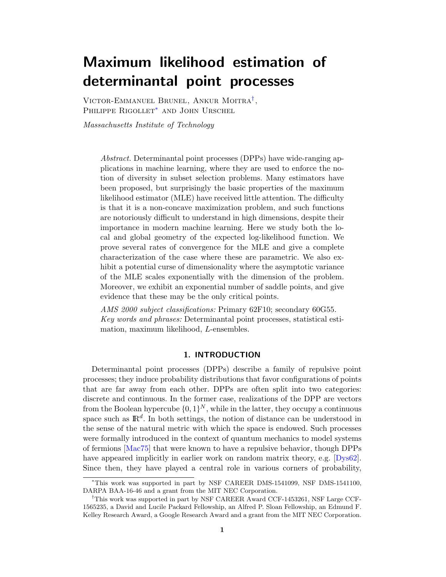# Maximum likelihood estimation of determinantal point processes

Victor-Emmanuel Brunel, Ankur Moitra[†](#page-0-0) , PHILIPPE RIGOLLET<sup>\*</sup> AND JOHN URSCHEL

Massachusetts Institute of Technology

Abstract. Determinantal point processes (DPPs) have wide-ranging applications in machine learning, where they are used to enforce the notion of diversity in subset selection problems. Many estimators have been proposed, but surprisingly the basic properties of the maximum likelihood estimator (MLE) have received little attention. The difficulty is that it is a non-concave maximization problem, and such functions are notoriously difficult to understand in high dimensions, despite their importance in modern machine learning. Here we study both the local and global geometry of the expected log-likelihood function. We prove several rates of convergence for the MLE and give a complete characterization of the case where these are parametric. We also exhibit a potential curse of dimensionality where the asymptotic variance of the MLE scales exponentially with the dimension of the problem. Moreover, we exhibit an exponential number of saddle points, and give evidence that these may be the only critical points.

AMS 2000 subject classifications: Primary 62F10; secondary 60G55. Key words and phrases: Determinantal point processes, statistical estimation, maximum likelihood, L-ensembles.

#### 1. INTRODUCTION

Determinantal point processes (DPPs) describe a family of repulsive point processes; they induce probability distributions that favor configurations of points that are far away from each other. DPPs are often split into two categories: discrete and continuous. In the former case, realizations of the DPP are vectors from the Boolean hypercube  $\{0, 1\}^N$ , while in the latter, they occupy a continuous space such as  $\mathbb{R}^d$ . In both settings, the notion of distance can be understood in the sense of the natural metric with which the space is endowed. Such processes were formally introduced in the context of quantum mechanics to model systems of fermions [\[Mac75\]](#page-23-0) that were known to have a repulsive behavior, though DPPs have appeared implicitly in earlier work on random matrix theory, e.g. [\[Dys62\]](#page-22-0). Since then, they have played a central role in various corners of probability,

<span id="page-0-1"></span><sup>∗</sup>This work was supported in part by NSF CAREER DMS-1541099, NSF DMS-1541100, DARPA BAA-16-46 and a grant from the MIT NEC Corporation.

<span id="page-0-0"></span><sup>†</sup>This work was supported in part by NSF CAREER Award CCF-1453261, NSF Large CCF-1565235, a David and Lucile Packard Fellowship, an Alfred P. Sloan Fellowship, an Edmund F. Kelley Research Award, a Google Research Award and a grant from the MIT NEC Corporation.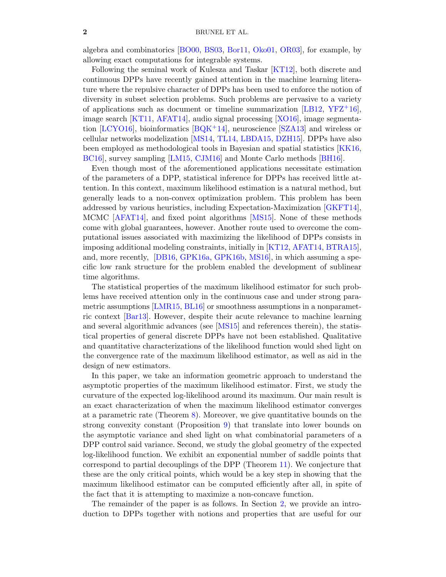algebra and combinatorics [\[BO00,](#page-21-0) [BS03,](#page-21-1) [Bor11,](#page-21-2) [Oko01,](#page-23-1) [OR03\]](#page-24-0), for example, by allowing exact computations for integrable systems.

Following the seminal work of Kulesza and Taskar [\[KT12\]](#page-23-2), both discrete and continuous DPPs have recently gained attention in the machine learning literature where the repulsive character of DPPs has been used to enforce the notion of diversity in subset selection problems. Such problems are pervasive to a variety of applications such as document or timeline summarization  $[LB12, YFZ^+16]$  $[LB12, YFZ^+16]$  $[LB12, YFZ^+16]$  $[LB12, YFZ^+16]$ , image search [\[KT11,](#page-23-4) [AFAT14\]](#page-21-3), audio signal processing [\[XO16\]](#page-24-2), image segmenta-tion [\[LCYO16\]](#page-23-5), bioinformatics  $BQK^+14$ ], neuroscience [\[SZA13\]](#page-24-3) and wireless or cellular networks modelization [\[MS14,](#page-23-6) [TL14,](#page-24-4) [LBDA15,](#page-23-7) [DZH15\]](#page-22-1). DPPs have also been employed as methodological tools in Bayesian and spatial statistics [\[KK16,](#page-23-8) [BC16\]](#page-21-5), survey sampling [\[LM15,](#page-23-9) [CJM16\]](#page-22-2) and Monte Carlo methods [\[BH16\]](#page-21-6).

Even though most of the aforementioned applications necessitate estimation of the parameters of a DPP, statistical inference for DPPs has received little attention. In this context, maximum likelihood estimation is a natural method, but generally leads to a non-convex optimization problem. This problem has been addressed by various heuristics, including Expectation-Maximization [\[GKFT14\]](#page-22-3), MCMC [\[AFAT14\]](#page-21-3), and fixed point algorithms [\[MS15\]](#page-23-10). None of these methods come with global guarantees, however. Another route used to overcome the computational issues associated with maximizing the likelihood of DPPs consists in imposing additional modeling constraints, initially in [\[KT12,](#page-23-2) [AFAT14,](#page-21-3) [BTRA15\]](#page-21-7), and, more recently, [\[DB16,](#page-22-4) [GPK16a,](#page-22-5) [GPK16b,](#page-22-6) [MS16\]](#page-23-11), in which assuming a specific low rank structure for the problem enabled the development of sublinear time algorithms.

The statistical properties of the maximum likelihood estimator for such problems have received attention only in the continuous case and under strong para-metric assumptions [\[LMR15,](#page-23-12) [BL16\]](#page-21-8) or smoothness assumptions in a nonparametric context [\[Bar13\]](#page-21-9). However, despite their acute relevance to machine learning and several algorithmic advances (see [\[MS15\]](#page-23-10) and references therein), the statistical properties of general discrete DPPs have not been established. Qualitative and quantitative characterizations of the likelihood function would shed light on the convergence rate of the maximum likelihood estimator, as well as aid in the design of new estimators.

In this paper, we take an information geometric approach to understand the asymptotic properties of the maximum likelihood estimator. First, we study the curvature of the expected log-likelihood around its maximum. Our main result is an exact characterization of when the maximum likelihood estimator converges at a parametric rate (Theorem [8\)](#page-6-0). Moreover, we give quantitative bounds on the strong convexity constant (Proposition [9\)](#page-7-0) that translate into lower bounds on the asymptotic variance and shed light on what combinatorial parameters of a DPP control said variance. Second, we study the global geometry of the expected log-likelihood function. We exhibit an exponential number of saddle points that correspond to partial decouplings of the DPP (Theorem [11\)](#page-8-0). We conjecture that these are the only critical points, which would be a key step in showing that the maximum likelihood estimator can be computed efficiently after all, in spite of the fact that it is attempting to maximize a non-concave function.

The remainder of the paper is as follows. In Section [2,](#page-2-0) we provide an introduction to DPPs together with notions and properties that are useful for our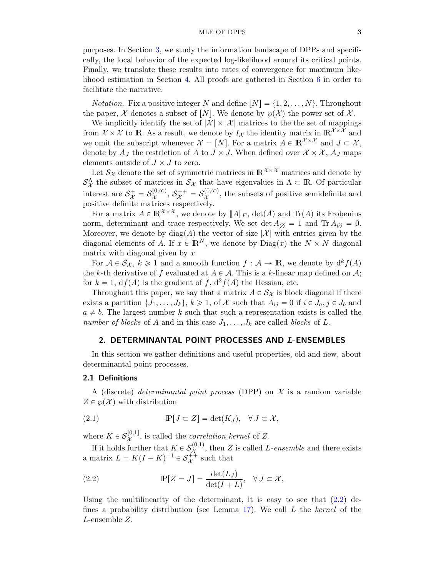#### MLE OF DPPS 3

purposes. In Section [3,](#page-5-0) we study the information landscape of DPPs and specifically, the local behavior of the expected log-likelihood around its critical points. Finally, we translate these results into rates of convergence for maximum likelihood estimation in Section [4.](#page-8-1) All proofs are gathered in Section [6](#page-11-0) in order to facilitate the narrative.

*Notation.* Fix a positive integer N and define  $[N] = \{1, 2, ..., N\}$ . Throughout the paper, X denotes a subset of  $[N]$ . We denote by  $\wp(X)$  the power set of X.

We implicitly identify the set of  $|\mathcal{X}| \times |\mathcal{X}|$  matrices to the the set of mappings from  $\mathcal{X} \times \mathcal{X}$  to IR. As a result, we denote by  $I_{\mathcal{X}}$  the identity matrix in  $\mathbb{R}^{\mathcal{X} \times \mathcal{X}}$  and we omit the subscript whenever  $\mathcal{X} = [N]$ . For a matrix  $A \in \mathbb{R}^{\mathcal{X} \times \mathcal{X}}$  and  $J \subset \mathcal{X}$ , denote by  $A_J$  the restriction of A to  $J \times J$ . When defined over  $\mathcal{X} \times \mathcal{X}$ ,  $A_J$  maps elements outside of  $J \times J$  to zero.

Let  $\mathcal{S}_{\mathcal{X}}$  denote the set of symmetric matrices in  $\mathbb{R}^{\mathcal{X}\times\mathcal{X}}$  matrices and denote by  $S^{\Lambda}_{\mathcal{X}}$  the subset of matrices in  $S_{\mathcal{X}}$  that have eigenvalues in  $\Lambda \subset \mathbb{R}$ . Of particular interest are  $S^+_{\mathcal{X}} = S^{[0,\infty)}_{\mathcal{X}}$  $\mathcal{S}_\mathcal{X}^{(0,\infty)},\, \mathcal{S}_\mathcal{X}^{++}=\mathcal{S}_\mathcal{X}^{(0,\infty)}$  $\chi^{(0,\infty)}$ , the subsets of positive semidefinite and positive definite matrices respectively.

For a matrix  $A \in \mathbb{R}^{\mathcal{X} \times \mathcal{X}}$ , we denote by  $||A||_F$ ,  $\det(A)$  and  $\text{Tr}(A)$  its Frobenius norm, determinant and trace respectively. We set det  $A_{\emptyset} = 1$  and  $\text{Tr } A_{\emptyset} = 0$ . Moreover, we denote by  $\text{diag}(A)$  the vector of size  $|\mathcal{X}|$  with entries given by the diagonal elements of A. If  $x \in \mathbb{R}^N$ , we denote by  $\text{Diag}(x)$  the  $N \times N$  diagonal matrix with diagonal given by  $x$ .

For  $A \in S_{\mathcal{X}}$ ,  $k \geq 1$  and a smooth function  $f : A \to \mathbb{R}$ , we denote by  $d^k f(A)$ the k-th derivative of f evaluated at  $A \in \mathcal{A}$ . This is a k-linear map defined on  $\mathcal{A}$ ; for  $k = 1$ ,  $df(A)$  is the gradient of f,  $d^2f(A)$  the Hessian, etc.

Throughout this paper, we say that a matrix  $A \in S_{\mathcal{X}}$  is block diagonal if there exists a partition  $\{J_1, \ldots, J_k\}, k \geq 1$ , of X such that  $A_{ij} = 0$  if  $i \in J_a, j \in J_b$  and  $a \neq b$ . The largest number k such that such a representation exists is called the number of blocks of A and in this case  $J_1, \ldots, J_k$  are called blocks of L.

# <span id="page-2-0"></span>2. DETERMINANTAL POINT PROCESSES AND L-ENSEMBLES

In this section we gather definitions and useful properties, old and new, about determinantal point processes.

#### 2.1 Definitions

A (discrete) determinantal point process (DPP) on  $\mathcal X$  is a random variable  $Z \in \mathcal{O}(\mathcal{X})$  with distribution

<span id="page-2-2"></span>(2.1) 
$$
\mathbb{P}[J \subset Z] = \det(K_J), \quad \forall J \subset \mathcal{X},
$$

where  $K \in \mathcal{S}^{[0,1]}_{\mathcal{X}}$  $\chi^{\text{[0,1]}}$ , is called the *correlation kernel* of Z.

If it holds further that  $K \in \mathcal{S}^{(0,1)}_{\mathcal{X}}$  $\mathcal{X}^{(0,1)}$ , then Z is called L-ensemble and there exists a matrix  $L = K(I - K)^{-1} \in \mathcal{S}_{\mathcal{X}}^{++}$  such that

<span id="page-2-1"></span>(2.2) 
$$
\mathbb{P}[Z = J] = \frac{\det(L_J)}{\det(I + L)}, \quad \forall J \subset \mathcal{X},
$$

Using the multilinearity of the determinant, it is easy to see that  $(2.2)$  de-fines a probability distribution (see Lemma [17\)](#page-11-1). We call  $L$  the kernel of the L-ensemble Z.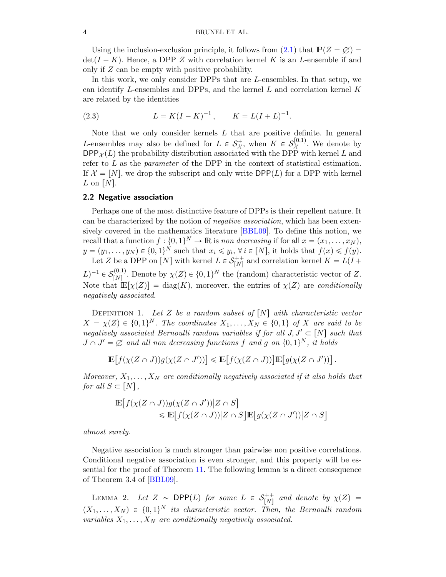Using the inclusion-exclusion principle, it follows from  $(2.1)$  that  $\mathbb{P}(Z = \emptyset) =$  $\det(I - K)$ . Hence, a DPP Z with correlation kernel K is an L-ensemble if and only if Z can be empty with positive probability.

In this work, we only consider DPPs that are L-ensembles. In that setup, we can identify L-ensembles and DPPs, and the kernel  $L$  and correlation kernel  $K$ are related by the identities

<span id="page-3-0"></span>(2.3) 
$$
L = K(I - K)^{-1}, \qquad K = L(I + L)^{-1}.
$$

Note that we only consider kernels  $L$  that are positive definite. In general L-ensembles may also be defined for  $L \in \mathcal{S}_{\mathcal{X}}^{+}$ , when  $K \in \mathcal{S}_{\mathcal{X}}^{[0,1)}$  $\chi^{(0,1)}$ . We denote by  $DPP_{\mathcal{X}}(L)$  the probability distribution associated with the DPP with kernel L and refer to  $L$  as the *parameter* of the DPP in the context of statistical estimation. If  $\mathcal{X} = [N]$ , we drop the subscript and only write  $DPP(L)$  for a DPP with kernel L on  $[N]$ .

#### 2.2 Negative association

Perhaps one of the most distinctive feature of DPPs is their repellent nature. It can be characterized by the notion of negative association, which has been extensively covered in the mathematics literature [\[BBL09\]](#page-21-10). To define this notion, we recall that a function  $f: \{0, 1\}^N \to \mathbb{R}$  is non decreasing if for all  $x = (x_1, \ldots, x_N)$ ,  $y = (y_1, \ldots, y_N) \in \{0, 1\}^N$  such that  $x_i \leq y_i$ ,  $\forall i \in [N]$ , it holds that  $f(x) \leq f(y)$ . Let Z be a DPP on  $[N]$  with kernel  $L \in \mathcal{S}_{[N]}^{++}$  and correlation kernel  $K = L(I +$ 

 $(L)^{-1} \in \mathcal{S}_{[N]}^{(0,1)}$  $N^{(0,1)}_{[N]}$ . Denote by  $\chi(Z) \in \{0, 1\}^N$  the (random) characteristic vector of Z. Note that  $\mathbb{E}[\chi(Z)] = \text{diag}(K)$ , moreover, the entries of  $\chi(Z)$  are conditionally negatively associated.

DEFINITION 1. Let Z be a random subset of  $[N]$  with characteristic vector  $X = \chi(Z) \in \{0, 1\}^N$ . The coordinates  $X_1, \ldots, X_N \in \{0, 1\}$  of X are said to be negatively associated Bernoulli random variables if for all  $J, J' \subset [N]$  such that  $J \cap J' = \varnothing$  and all non decreasing functions f and g on  $\{0,1\}^N$ , it holds

$$
\mathbb{E}\big[f(\chi(Z \cap J))g(\chi(Z \cap J'))\big] \leq \mathbb{E}\big[f(\chi(Z \cap J))\big]\mathbb{E}\big[g(\chi(Z \cap J'))\big].
$$

Moreover,  $X_1, \ldots, X_N$  are conditionally negatively associated if it also holds that for all  $S \subset [N],$ 

$$
\mathbb{E}\big[f(\chi(Z \cap J))g(\chi(Z \cap J'))\big|Z \cap S\big] \leq \mathbb{E}\big[f(\chi(Z \cap J))\big|Z \cap S\big]\mathbb{E}\big[g(\chi(Z \cap J'))\big|Z \cap S\big]
$$

almost surely.

Negative association is much stronger than pairwise non positive correlations. Conditional negative association is even stronger, and this property will be essential for the proof of Theorem [11.](#page-8-0) The following lemma is a direct consequence of Theorem 3.4 of [\[BBL09\]](#page-21-10).

<span id="page-3-1"></span>LEMMA 2. Let  $Z \sim \text{DPP}(L)$  for some  $L \in S_{[N]}^{++}$  and denote by  $\chi(Z) =$  $(X_1, \ldots, X_N) \in \{0, 1\}^N$  its characteristic vector. Then, the Bernoulli random variables  $X_1, \ldots, X_N$  are conditionally negatively associated.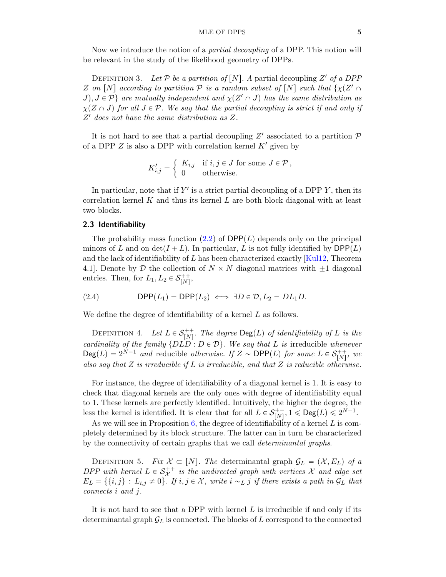Now we introduce the notion of a partial decoupling of a DPP. This notion will be relevant in the study of the likelihood geometry of DPPs.

DEFINITION 3. Let  $P$  be a partition of [N]. A partial decoupling Z' of a DPP Z on  $[N]$  according to partition  $P$  is a random subset of  $[N]$  such that  $\{\chi(Z')\}$  $J, J \in \mathcal{P}$  are mutually independent and  $\chi(Z' \cap J)$  has the same distribution as  $\chi(Z \cap J)$  for all  $J \in \mathcal{P}$ . We say that the partial decoupling is strict if and only if Z <sup>1</sup> does not have the same distribution as Z.

It is not hard to see that a partial decoupling  $Z'$  associated to a partition  $\mathcal P$ of a DPP  $Z$  is also a DPP with correlation kernel  $K'$  given by

$$
K'_{i,j} = \begin{cases} K_{i,j} & \text{if } i,j \in J \text{ for some } J \in \mathcal{P} \,, \\ 0 & \text{otherwise.} \end{cases}
$$

In particular, note that if  $Y'$  is a strict partial decoupling of a DPP  $Y$ , then its correlation kernel  $K$  and thus its kernel  $L$  are both block diagonal with at least two blocks.

# 2.3 Identifiability

The probability mass function [\(2.2\)](#page-2-1) of  $DPP(L)$  depends only on the principal minors of L and on det $(I + L)$ . In particular, L is not fully identified by DPP(L) and the lack of identifiability of  $L$  has been characterized exactly [\[Kul12,](#page-23-13) Theorem 4.1. Denote by D the collection of  $N \times N$  diagonal matrices with  $\pm 1$  diagonal entries. Then, for  $L_1, L_2 \in \mathcal{S}_{[N]}^{++}$ ,

(2.4) 
$$
\mathsf{DPP}(L_1) = \mathsf{DPP}(L_2) \iff \exists D \in \mathcal{D}, L_2 = DL_1D.
$$

We define the degree of identifiability of a kernel L as follows.

DEFINITION 4. Let  $L \in \mathcal{S}_{[N]}^{++}$ . The degree  $\text{Deg}(L)$  of identifiability of L is the cardinality of the family  $\{D\overrightarrow{LD} : D \in \mathcal{D}\}\$ . We say that L is irreducible whenever  $\text{Deg}(L) = 2^{N-1}$  and reducible otherwise. If  $Z \sim \text{DPP}(L)$  for some  $L \in \mathcal{S}_{[N]}^{++}$ , we also say that  $Z$  is irreducible if  $L$  is irreducible, and that  $Z$  is reducible otherwise.

For instance, the degree of identifiability of a diagonal kernel is 1. It is easy to check that diagonal kernels are the only ones with degree of identifiability equal to 1. These kernels are perfectly identified. Intuitively, the higher the degree, the less the kernel is identified. It is clear that for all  $L \in \mathcal{S}_{[N]}^{++}$ ,  $1 \le \text{Deg}(L) \le 2^{N-1}$ .

As we will see in Proposition  $6$ , the degree of identifiability of a kernel L is completely determined by its block structure. The latter can in turn be characterized by the connectivity of certain graphs that we call determinantal graphs.

DEFINITION 5. Fix  $\mathcal{X} \subset [N]$ . The determinantal graph  $\mathcal{G}_L = (\mathcal{X}, E_L)$  of a DPP with kernel  $L \in \mathcal{S}_{\mathcal{X}}^{++}$  is the undirected graph with vertices X and edge set  $E_L = \{ \{i, j\} : L_{i,j} \neq 0 \}$ . If  $i, j \in \mathcal{X}$ , write  $i \sim_L j$  if there exists a path in  $\mathcal{G}_L$  that connects i and j.

It is not hard to see that a DPP with kernel  $L$  is irreducible if and only if its determinantal graph  $\mathcal{G}_L$  is connected. The blocks of L correspond to the connected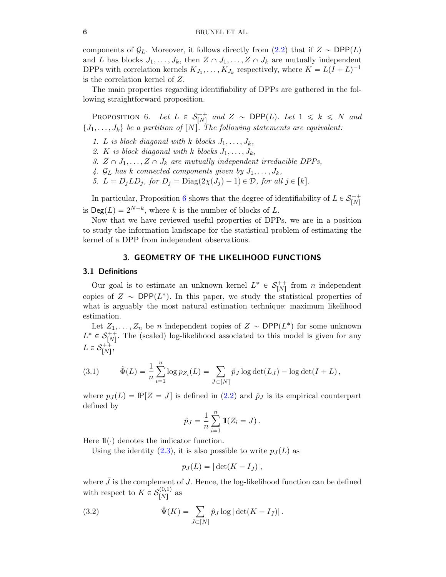components of  $\mathcal{G}_L$ . Moreover, it follows directly from [\(2.2\)](#page-2-1) that if  $Z \sim \text{DPP}(L)$ and L has blocks  $J_1, \ldots, J_k$ , then  $Z \cap J_1, \ldots, Z \cap J_k$  are mutually independent DPPs with correlation kernels  $K_{J_1}, \ldots, K_{J_k}$  respectively, where  $K = L(I + L)^{-1}$ is the correlation kernel of Z.

The main properties regarding identifiability of DPPs are gathered in the following straightforward proposition.

<span id="page-5-1"></span>PROPOSITION 6. Let  $L \in S^+_{[N]}$  and  $Z \sim \text{DPP}(L)$ . Let  $1 \leq k \leq N$  and  $\{J_1, \ldots, J_k\}$  be a partition of  $[N]$ . The following statements are equivalent:

- 1. L is block diagonal with k blocks  $J_1, \ldots, J_k$ ,
- 2. K is block diagonal with k blocks  $J_1, \ldots, J_k$ ,
- 3.  $Z \cap J_1, \ldots, Z \cap J_k$  are mutually independent irreducible DPPs,
- 4.  $\mathcal{G}_L$  has k connected components given by  $J_1, \ldots, J_k$ ,
- 5.  $L = D_j L D_j$ , for  $D_j = \text{Diag}(2\chi(J_j) 1) \in \mathcal{D}$ , for all  $j \in [k]$ .

In particular, Proposition [6](#page-5-1) shows that the degree of identifiability of  $L \in \mathcal{S}_{[N]}^{++}$ is  $\text{Deg}(L) = 2^{N-k}$ , where k is the number of blocks of L.

Now that we have reviewed useful properties of DPPs, we are in a position to study the information landscape for the statistical problem of estimating the kernel of a DPP from independent observations.

# 3. GEOMETRY OF THE LIKELIHOOD FUNCTIONS

#### <span id="page-5-0"></span>3.1 Definitions

Our goal is to estimate an unknown kernel  $L^* \in \mathcal{S}_{[N]}^{++}$  from n independent copies of  $Z \sim \text{DPP}(L^*)$ . In this paper, we study the statistical properties of what is arguably the most natural estimation technique: maximum likelihood estimation.

Let  $Z_1, \ldots, Z_n$  be n independent copies of  $Z \sim \text{DPP}(L^*)$  for some unknown  $L^* \in \mathcal{S}_{[N]}^{++}$ . The (scaled) log-likelihood associated to this model is given for any  $L \in \mathcal{S}_{[N]}^{++},$ 

<span id="page-5-2"></span>(3.1) 
$$
\hat{\Phi}(L) = \frac{1}{n} \sum_{i=1}^{n} \log p_{Z_i}(L) = \sum_{J \subset [N]} \hat{p}_J \log \det(L_J) - \log \det(I + L),
$$

where  $p_J(L) = \mathbb{P}[Z = J]$  is defined in [\(2.2\)](#page-2-1) and  $\hat{p}_J$  is its empirical counterpart defined by

$$
\hat{p}_J = \frac{1}{n} \sum_{i=1}^n \mathbb{I}(Z_i = J).
$$

Here  $\mathbb{I}(\cdot)$  denotes the indicator function.

Using the identity  $(2.3)$ , it is also possible to write  $p_J(L)$  as

<span id="page-5-3"></span>
$$
p_J(L) = |\det(K - I_{\bar{J}})|,
$$

where  $\bar{J}$  is the complement of J. Hence, the log-likelihood function can be defined with respect to  $K \in \mathcal{S}_{[N]}^{(0,1)}$  $\binom{0,1}{N}$  as

(3.2) 
$$
\hat{\Psi}(K) = \sum_{J \subset [N]} \hat{p}_J \log |\det(K - I_{\bar{J}})|.
$$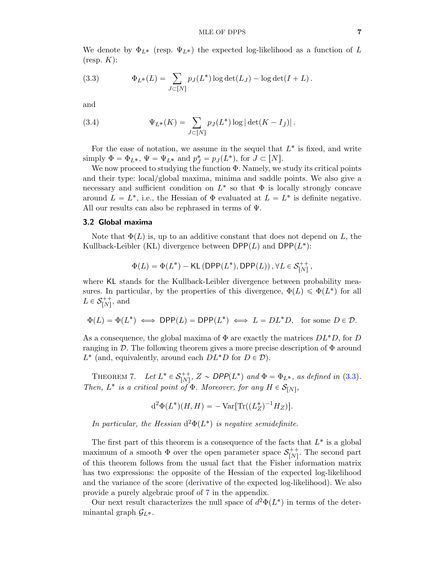We denote by  $\Phi_{L^*}$  (resp.  $\Psi_{L^*}$ ) the expected log-likelihood as a function of L  $(r \exp K)$ :

<span id="page-6-1"></span>(3.3) 
$$
\Phi_{L^*}(L) = \sum_{J \subset [N]} p_J(L^*) \log \det(L_J) - \log \det(I + L).
$$

and

(3.4) 
$$
\Psi_{L^*}(K) = \sum_{J \subset [N]} p_J(L^*) \log |\det(K - I_{\bar{J}})|.
$$

For the ease of notation, we assume in the sequel that  $L^*$  is fixed, and write simply  $\Phi = \Phi_{L^*}, \Psi = \Psi_{L^*}$  and  $p_J^* = p_J(L^*),$  for  $J \subset [N]$ .

We now proceed to studying the function Φ. Namely, we study its critical points and their type: local/global maxima, minima and saddle points. We also give a necessary and sufficient condition on  $L^*$  so that  $\Phi$  is locally strongly concave around  $L = L^*$ , i.e., the Hessian of  $\Phi$  evaluated at  $L = L^*$  is definite negative. All our results can also be rephrased in terms of Ψ.

#### 3.2 Global maxima

Note that  $\Phi(L)$  is, up to an additive constant that does not depend on L, the Kullback-Leibler (KL) divergence between  $\textsf{DPP}(L)$  and  $\textsf{DPP}(L^*)$ :

$$
\Phi(L) = \Phi(L^*) - \mathsf{KL}\left(\mathsf{DPP}(L^*), \mathsf{DPP}(L)\right), \forall L \in \mathcal{S}_{[N]}^{++},
$$

where KL stands for the Kullback-Leibler divergence between probability measures. In particular, by the properties of this divergence,  $\Phi(L) \leq \Phi(L^*)$  for all  $L \in \mathcal{S}_{[N]}^{++}$ , and

$$
\Phi(L) = \Phi(L^*) \iff \mathsf{DPP}(L) = \mathsf{DPP}(L^*) \iff L = DL^*D, \text{ for some } D \in \mathcal{D}.
$$

As a consequence, the global maxima of  $\Phi$  are exactly the matrices  $DL^*D$ , for D ranging in  $\mathcal{D}$ . The following theorem gives a more precise description of  $\Phi$  around  $L^*$  (and, equivalently, around each  $DL^*D$  for  $D \in \mathcal{D}$ ).

<span id="page-6-2"></span>THEOREM 7. Let  $L^* \in \mathcal{S}_{[N]}^{++}$ ,  $Z \sim \text{DPP}(L^*)$  and  $\Phi = \Phi_{L^*}$ , as defined in [\(3.3\)](#page-6-1). Then,  $L^*$  is a critical point of  $\Phi$ . Moreover, for any  $H \in \mathcal{S}_{[N]}$ ,

$$
d^{2}\Phi(L^{*})(H, H) = -Var[Tr((L_{Z}^{*})^{-1}H_{Z})].
$$

In particular, the Hessian  $d^2\Phi(L^*)$  is negative semidefinite.

The first part of this theorem is a consequence of the facts that  $L^*$  is a global maximum of a smooth  $\Phi$  over the open parameter space  $\mathcal{S}_{[N]}^{++}$ . The second part of this theorem follows from the usual fact that the Fisher information matrix has two expressions: the opposite of the Hessian of the expected log-likelihood and the variance of the score (derivative of the expected log-likelihood). We also provide a purely algebraic proof of [7](#page-6-2) in the appendix.

<span id="page-6-0"></span>Our next result characterizes the null space of  $d^2\Phi(L^*)$  in terms of the determinantal graph  $\mathcal{G}_{L^*}$ .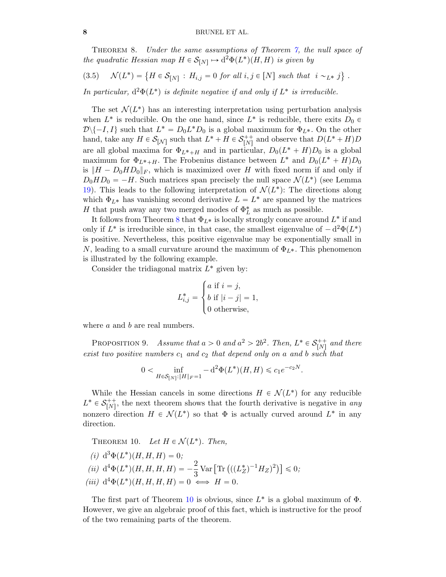Theorem 8. Under the same assumptions of Theorem [7,](#page-6-2) the null space of the quadratic Hessian map  $H \in \mathcal{S}_{[N]} \mapsto d^2\Phi(L^*)(H, H)$  is given by (

<span id="page-7-2"></span>(3.5) 
$$
\mathcal{N}(L^*) = \{ H \in \mathcal{S}_{[N]} : H_{i,j} = 0 \text{ for all } i,j \in [N] \text{ such that } i \sim_{L^*} j \}.
$$

In particular,  $d^2\Phi(L^*)$  is definite negative if and only if  $L^*$  is irreducible.

The set  $\mathcal{N}(L^*)$  has an interesting interpretation using perturbation analysis when  $L^*$  is reducible. On the one hand, since  $L^*$  is reducible, there exits  $D_0 \in$  $\mathcal{D}\setminus\{-I, I\}$  such that  $L^* = D_0L^*D_0$  is a global maximum for  $\Phi_{L^*}$ . On the other hand, take any  $H \in \mathcal{S}_{[\mathcal{N}]}$  such that  $L^* + H \in \mathcal{S}_{[N]}^{++}$  and observe that  $D(L^* + H)D$ are all global maxima for  $\Phi_{L^*+H}$  and in particular,  $D_0(L^* + H)D_0$  is a global maximum for  $\Phi_{L^*+H}$ . The Frobenius distance between  $L^*$  and  $D_0(L^* + H)D_0$ is  $||H - D_0HD_0||_F$ , which is maximized over H with fixed norm if and only if  $D_0HD_0 = -H$ . Such matrices span precisely the null space  $\mathcal{N}(L^*)$  (see Lemma [19\)](#page-12-0). This leads to the following interpretation of  $\mathcal{N}(L^*)$ : The directions along which  $\Phi_{L^*}$  has vanishing second derivative  $L = L^*$  are spanned by the matrices  $H$  that push away any two merged modes of  $\Phi_L^*$  as much as possible.

It follows from Theorem [8](#page-6-0) that  $\Phi_{L^*}$  is locally strongly concave around  $L^*$  if and only if  $L^*$  is irreducible since, in that case, the smallest eigenvalue of  $-d^2\Phi(L^*)$ is positive. Nevertheless, this positive eigenvalue may be exponentially small in N, leading to a small curvature around the maximum of  $\Phi_{L^*}$ . This phenomenon is illustrated by the following example.

Consider the tridiagonal matrix  $L^*$  given by:

$$
L_{i,j}^* = \begin{cases} a \text{ if } i = j, \\ b \text{ if } |i - j| = 1, \\ 0 \text{ otherwise,} \end{cases}
$$

<span id="page-7-0"></span>where *a* and *b* are real numbers.

PROPOSITION 9. Assume that  $a > 0$  and  $a^2 > 2b^2$ . Then,  $L^* \in \mathcal{S}_{[N]}^{++}$  and there exist two positive numbers  $c_1$  and  $c_2$  that depend only on a and b such that

$$
0 < \inf_{H \in \mathcal{S}_{[N]} : \|H\|_F = 1} - \mathbf{d}^2 \Phi(L^*)(H, H) \leq c_1 e^{-c_2 N}.
$$

While the Hessian cancels in some directions  $H \in \mathcal{N}(L^*)$  for any reducible  $L^* \in \mathcal{S}_{[N]}^{++}$ , the next theorem shows that the fourth derivative is negative in any nonzero direction  $H \in \mathcal{N}(L^*)$  so that  $\Phi$  is actually curved around  $L^*$  in any direction.

<span id="page-7-1"></span>THEOREM 10. Let  $H \in \mathcal{N}(L^*)$ . Then, (*i*)  $d^3\Phi(L^*)(H, H, H) = 0;$ (*ii*)  $d^4\Phi(L^*)(H, H, H, H) = -\frac{2}{3} \text{Var} \left[ \text{Tr} \left( ((L_Z^*)^{-1} H_Z)^2 \right) \right]$  $\leqslant 0;$ (iii)  $d^4\Phi(L^*)(H, H, H, H) = 0 \iff H = 0.$ 

The first part of Theorem [10](#page-7-1) is obvious, since  $L^*$  is a global maximum of  $\Phi$ . However, we give an algebraic proof of this fact, which is instructive for the proof of the two remaining parts of the theorem.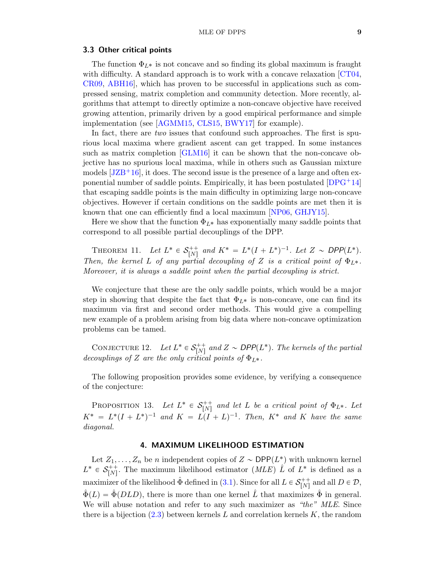#### 3.3 Other critical points

The function  $\Phi_{L^*}$  is not concave and so finding its global maximum is fraught with difficulty. A standard approach is to work with a concave relaxation [\[CT04,](#page-22-7) [CR09,](#page-22-8) [ABH16\]](#page-21-11), which has proven to be successful in applications such as compressed sensing, matrix completion and community detection. More recently, algorithms that attempt to directly optimize a non-concave objective have received growing attention, primarily driven by a good empirical performance and simple implementation (see [\[AGMM15,](#page-21-12) [CLS15,](#page-22-9) [BWY17\]](#page-22-10) for example).

In fact, there are *two* issues that confound such approaches. The first is spurious local maxima where gradient ascent can get trapped. In some instances such as matrix completion [\[GLM16\]](#page-22-11) it can be shown that the non-concave objective has no spurious local maxima, while in others such as Gaussian mixture models  $[JZB<sup>+</sup>16]$  $[JZB<sup>+</sup>16]$ , it does. The second issue is the presence of a large and often exponential number of saddle points. Empirically, it has been postulated  $[DPG+14]$  $[DPG+14]$ that escaping saddle points is the main difficulty in optimizing large non-concave objectives. However if certain conditions on the saddle points are met then it is known that one can efficiently find a local maximum [\[NP06,](#page-23-14) [GHJY15\]](#page-22-14).

Here we show that the function  $\Phi_{L^*}$  has exponentially many saddle points that correspond to all possible partial decouplings of the DPP.

<span id="page-8-0"></span>THEOREM 11. Let  $L^* \in \mathcal{S}_{[N]}^{++}$  and  $K^* = L^*(I + L^*)^{-1}$ . Let  $Z \sim \text{DPP}(L^*)$ . Then, the kernel L of any partial decoupling of Z is a critical point of  $\Phi_{L^*}$ . Moreover, it is always a saddle point when the partial decoupling is strict.

We conjecture that these are the only saddle points, which would be a major step in showing that despite the fact that  $\Phi_{L^*}$  is non-concave, one can find its maximum via first and second order methods. This would give a compelling new example of a problem arising from big data where non-concave optimization problems can be tamed.

<span id="page-8-2"></span>CONJECTURE 12. Let  $L^* \in \mathcal{S}_{[N]}^{++}$  and  $Z \sim \text{DPP}(L^*)$ . The kernels of the partial decouplings of Z are the only critical points of  $\Phi_{L^*}$ .

The following proposition provides some evidence, by verifying a consequence of the conjecture:

<span id="page-8-3"></span>PROPOSITION 13. Let  $L^* \in \mathcal{S}_{[N]}^{++}$  and let L be a critical point of  $\Phi_{L^*}$ . Let  $K^* = L^*(I + L^*)^{-1}$  and  $K = L(I + L)^{-1}$ . Then,  $K^*$  and K have the same diagonal.

# 4. MAXIMUM LIKELIHOOD ESTIMATION

<span id="page-8-1"></span>Let  $Z_1, \ldots, Z_n$  be *n* independent copies of  $Z \sim \text{DPP}(L^*)$  with unknown kernel  $L^* \in \mathcal{S}_{[N]}^{++}$ . The maximum likelihood estimator  $(MLE)$   $\hat{L}$  of  $L^*$  is defined as a maximizer of the likelihood  $\hat{\Phi}$  defined in ([3.1\)](#page-5-2). Since for all  $L \in \mathcal{S}_{[N]}^{++}$  and all  $D \in \mathcal{D}$ ,  $\tilde{\Phi}(L) = \tilde{\Phi}(DLD)$ , there is more than one kernel L<sup>†</sup> that maximizes  $\tilde{\Phi}$  in general. We will abuse notation and refer to any such maximizer as "the" MLE. Since there is a bijection  $(2.3)$  between kernels L and correlation kernels K, the random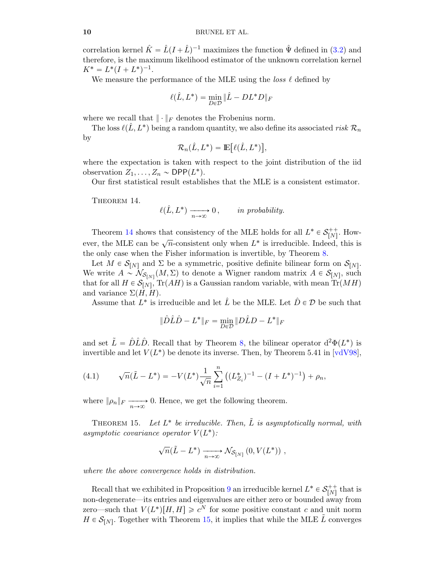#### 10 BRUNEL ET AL.

correlation kernel  $\hat{K} = \hat{L}(I + \hat{L})^{-1}$  maximizes the function  $\hat{\Psi}$  defined in ([3.2\)](#page-5-3) and therefore, is the maximum likelihood estimator of the unknown correlation kernel  $K^* = L^*(I + L^*)^{-1}.$ 

We measure the performance of the MLE using the *loss*  $\ell$  defined by

$$
\ell(\hat{L}, L^*) = \min_{D \in \mathcal{D}} \|\hat{L} - DL^*D\|_F
$$

where we recall that  $\|\cdot\|_F$  denotes the Frobenius norm.

The loss  $\ell(\hat{L}, L^*)$  being a random quantity, we also define its associated risk  $\mathcal{R}_n$ by ‰

$$
\mathcal{R}_n(\hat{L}, L^*) = \mathbb{E}\big[\ell(\hat{L}, L^*)\big],
$$

where the expectation is taken with respect to the joint distribution of the iid observation  $Z_1, \ldots, Z_n \sim \text{DPP}(L^*).$ 

<span id="page-9-0"></span>Our first statistical result establishes that the MLE is a consistent estimator.

THEOREM 14.

$$
\ell(\hat{L}, L^*) \xrightarrow[n \to \infty]{} 0, \qquad \text{in probability.}
$$

Theorem [14](#page-9-0) shows that consistency of the MLE holds for all  $L^* \in \mathcal{S}_{[N]}^{++}$ . However, the MLE can be  $\sqrt{n}$ -consistent only when  $L^*$  is irreducible. Indeed, this is the only case when the Fisher information is invertible, by Theorem [8.](#page-6-0)

Let  $M \in \mathcal{S}_{[N]}$  and  $\Sigma$  be a symmetric, positive definite bilinear form on  $\mathcal{S}_{[N]}$ . We write  $A \sim \mathcal{N}_{\mathcal{S}_{[N]}}(M,\Sigma)$  to denote a Wigner random matrix  $A \in \mathcal{S}_{[N]}$ , such that for all  $H \in \mathcal{S}_{[N]}$ , Tr $(AH)$  is a Gaussian random variable, with mean Tr $(MH)$ and variance  $\Sigma(H, H)$ .

Assume that  $L^*$  is irreducible and let  $\hat{L}$  be the MLE. Let  $\hat{D} \in \mathcal{D}$  be such that

$$
\|\hat{D}\hat{L}\hat{D} - L^*\|_F = \min_{D \in \mathcal{D}} \|D\hat{L}D - L^*\|_F
$$

and set  $\tilde{L} = \hat{D}\hat{L}\hat{D}$ . Recall that by Theorem [8,](#page-6-0) the bilinear operator  $d^2\Phi(L^*)$  is invertible and let  $V(L^*)$  be denote its inverse. Then, by Theorem 5.41 in [\[vdV98\]](#page-24-5),

(4.1) 
$$
\sqrt{n}(\tilde{L} - L^*) = -V(L^*) \frac{1}{\sqrt{n}} \sum_{i=1}^n ((L_{Z_i}^*)^{-1} - (I + L^*)^{-1}) + \rho_n,
$$

where  $\|\rho_n\|_F \longrightarrow 0$ . Hence, we get the following theorem.

<span id="page-9-1"></span>THEOREM 15. Let  $L^*$  be irreducible. Then,  $\tilde{L}$  is asymptotically normal, with asymptotic covariance operator  $V(L^*)$ :

$$
\sqrt{n}(\tilde{L}-L^*) \xrightarrow[n \to \infty]{} \mathcal{N}_{\mathcal{S}_{[N]}}(0, V(L^*)) ,
$$

where the above convergence holds in distribution.

Recall that we exhibited in Proposition [9](#page-7-0) an irreducible kernel  $L^* \in \mathcal{S}^{++}_{[N]}$  that is non-degenerate—its entries and eigenvalues are either zero or bounded away from zero—such that  $V(L^*)[H, H] \geq c^N$  for some positive constant c and unit norm  $H \in \mathcal{S}_{[N]}$ . Together with Theorem [15,](#page-9-1) it implies that while the MLE  $\tilde{L}$  converges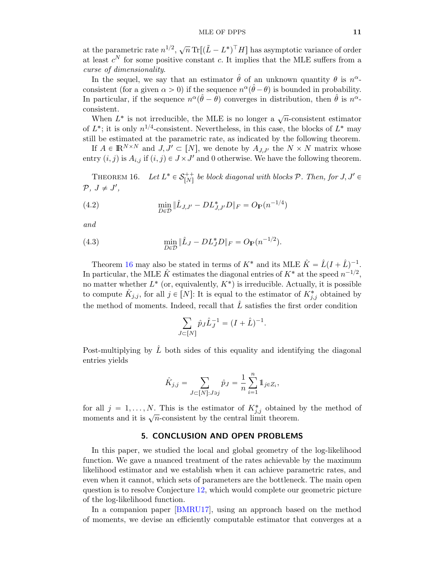at the parametric rate  $n^{1/2}$ ,  $\sqrt{n} \operatorname{Tr}[(\tilde{L} - L^*)^{\top} H]$  has asymptotic variance of order at least  $c^N$  for some positive constant c. It implies that the MLE suffers from a curse of dimensionality.

In the sequel, we say that an estimator  $\hat{\theta}$  of an unknown quantity  $\theta$  is  $n^{\alpha}$ . consistent (for a given  $\alpha > 0$ ) if the sequence  $n^{\alpha}(\hat{\theta} - \theta)$  is bounded in probability. In particular, if the sequence  $n^{\alpha}(\hat{\theta} - \theta)$  converges in distribution, then  $\hat{\theta}$  is  $n^{\alpha}$ . consistent.

When  $L^*$  is not irreducible, the MLE is no longer a  $\sqrt{n}$ -consistent estimator of  $L^*$ ; it is only  $n^{1/4}$ -consistent. Nevertheless, in this case, the blocks of  $L^*$  may still be estimated at the parametric rate, as indicated by the following theorem.

If  $A \in \mathbb{R}^{N \times N}$  and  $J, J' \subset [N]$ , we denote by  $A_{J,J'}$  the  $N \times N$  matrix whose entry  $(i, j)$  is  $A_{i,j}$  if  $(i, j) \in J \times J'$  and 0 otherwise. We have the following theorem.

<span id="page-10-0"></span>THEOREM 16. Let  $L^* \in \mathcal{S}_{[N]}^{++}$  be block diagonal with blocks  $\mathcal{P}$ . Then, for  $J, J' \in$  $\mathcal{P}, J \neq J',$ 

(4.2) 
$$
\min_{D \in \mathcal{D}} \|\hat{L}_{J,J'} - DL_{J,J'}^* D\|_F = O_{\mathbb{P}}(n^{-1/4})
$$

and

(4.3) 
$$
\min_{D \in \mathcal{D}} \|\hat{L}_J - DL_J^* D\|_F = O_{\mathbb{P}}(n^{-1/2}).
$$

Theorem [16](#page-10-0) may also be stated in terms of  $K^*$  and its MLE  $\hat{K} = \hat{L}(I + \hat{L})^{-1}$ . In particular, the MLE  $\hat{K}$  estimates the diagonal entries of  $K^*$  at the speed  $n^{-1/2}$ , no matter whether  $L^*$  (or, equivalently,  $K^*$ ) is irreducible. Actually, it is possible to compute  $\hat{K}_{j,j}$ , for all  $j \in [N]$ : It is equal to the estimator of  $K^*_{j,j}$  obtained by the method of moments. Indeed, recall that  $\hat{L}$  satisfies the first order condition

$$
\sum_{J \subset [N]} \hat{p}_J \hat{L}_J^{-1} = (I + \hat{L})^{-1}.
$$

Post-multiplying by  $\hat{L}$  both sides of this equality and identifying the diagonal entries yields

$$
\hat{K}_{j,j} = \sum_{J \subset [N]: J \ni j} \hat{p}_J = \frac{1}{n} \sum_{i=1}^n \mathbb{1}_{j \in Z_i},
$$

for all  $j = 1, ..., N$ . This is the estimator of  $K_{j,j}^*$  obtained by the method of moments and it is  $\sqrt{n}$ -consistent by the central limit theorem.

# 5. CONCLUSION AND OPEN PROBLEMS

In this paper, we studied the local and global geometry of the log-likelihood function. We gave a nuanced treatment of the rates achievable by the maximum likelihood estimator and we establish when it can achieve parametric rates, and even when it cannot, which sets of parameters are the bottleneck. The main open question is to resolve Conjecture [12,](#page-8-2) which would complete our geometric picture of the log-likelihood function.

In a companion paper [\[BMRU17\]](#page-21-13), using an approach based on the method of moments, we devise an efficiently computable estimator that converges at a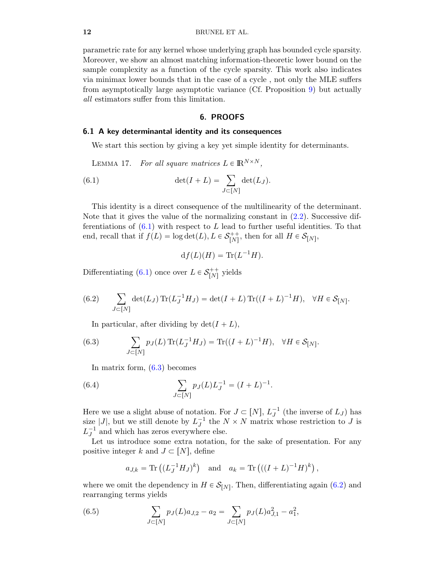parametric rate for any kernel whose underlying graph has bounded cycle sparsity. Moreover, we show an almost matching information-theoretic lower bound on the sample complexity as a function of the cycle sparsity. This work also indicates via minimax lower bounds that in the case of a cycle , not only the MLE suffers from asymptotically large asymptotic variance (Cf. Proposition [9\)](#page-7-0) but actually all estimators suffer from this limitation.

#### <span id="page-11-2"></span>6. PROOFS

# <span id="page-11-0"></span>6.1 A key determinantal identity and its consequences

<span id="page-11-1"></span>We start this section by giving a key yet simple identity for determinants.

LEMMA 17. For all square matrices  $L \in \mathbb{R}^{N \times N}$ ,

(6.1) 
$$
\det(I + L) = \sum_{J \subset [N]} \det(L_J).
$$

This identity is a direct consequence of the multilinearity of the determinant. Note that it gives the value of the normalizing constant in [\(2.2\)](#page-2-1). Successive differentiations of  $(6.1)$  with respect to L lead to further useful identities. To that end, recall that if  $f(L) = \log \det(L)$ ,  $L \in \mathcal{S}_{[N]}^{++}$ , then for all  $H \in \mathcal{S}_{[N]}$ ,

$$
df(L)(H) = Tr(L^{-1}H).
$$

Differentiating [\(6.1\)](#page-11-2) once over  $L \in \mathcal{S}_{[N]}^{++}$  yields

<span id="page-11-4"></span>(6.2) 
$$
\sum_{J \subset [N]} \det(L_J) \operatorname{Tr}(L_J^{-1} H_J) = \det(I + L) \operatorname{Tr}((I + L)^{-1} H), \quad \forall H \in \mathcal{S}_{[N]}.
$$

<span id="page-11-3"></span>In particular, after dividing by  $\det(I + L)$ ,

(6.3) 
$$
\sum_{J \subset [N]} p_J(L) \operatorname{Tr}(L_J^{-1} H_J) = \operatorname{Tr}((I + L)^{-1} H), \quad \forall H \in \mathcal{S}_{[N]}.
$$

<span id="page-11-6"></span>In matrix form, [\(6.3\)](#page-11-3) becomes

(6.4) 
$$
\sum_{J \subset [N]} p_J(L) L_J^{-1} = (I + L)^{-1}.
$$

Here we use a slight abuse of notation. For  $J \subset [N]$ ,  $L_J^{-1}$  (the inverse of  $L_J$ ) has size |J|, but we still denote by  $L_J^{-1}$  the  $N \times N$  matrix whose restriction to J is  $L_J^{-1}$  and which has zeros everywhere else.

Let us introduce some extra notation, for the sake of presentation. For any positive integer k and  $J \subset [N],$  define

<span id="page-11-5"></span>
$$
a_{J,k} = \text{Tr}((L_J^{-1}H_J)^k)
$$
 and  $a_k = \text{Tr}(((I+L)^{-1}H)^k)$ ,

where we omit the dependency in  $H \in \mathcal{S}_{[N]}$ . Then, differentiating again [\(6.2\)](#page-11-4) and rearranging terms yields

(6.5) 
$$
\sum_{J \subset [N]} p_J(L)a_{J,2} - a_2 = \sum_{J \subset [N]} p_J(L)a_{J,1}^2 - a_1^2,
$$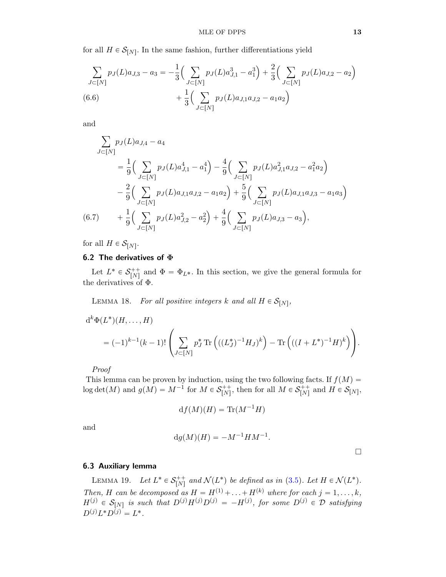for all  $H \in \mathcal{S}_{[N]}$ . In the same fashion, further differentiations yield

<span id="page-12-2"></span>
$$
\sum_{J \subset [N]} p_J(L)a_{J,3} - a_3 = -\frac{1}{3} \Big( \sum_{J \subset [N]} p_J(L)a_{J,1}^3 - a_1^3 \Big) + \frac{2}{3} \Big( \sum_{J \subset [N]} p_J(L)a_{J,2} - a_2 \Big) + \frac{1}{3} \Big( \sum_{J \subset [N]} p_J(L)a_{J,1}a_{J,2} - a_1a_2 \Big)
$$
\n(6.6)

and

$$
\sum_{J \subset [N]} p_J(L)a_{J,4} - a_4
$$
\n
$$
= \frac{1}{9} \Big( \sum_{J \subset [N]} p_J(L)a_{J,1}^4 - a_1^4 \Big) - \frac{4}{9} \Big( \sum_{J \subset [N]} p_J(L)a_{J,1}^2 a_{J,2} - a_1^2 a_2 \Big)
$$
\n
$$
- \frac{2}{9} \Big( \sum_{J \subset [N]} p_J(L)a_{J,1}a_{J,2} - a_1 a_2 \Big) + \frac{5}{9} \Big( \sum_{J \subset [N]} p_J(L)a_{J,1}a_{J,3} - a_1 a_3 \Big)
$$
\n(6.7) 
$$
+ \frac{1}{9} \Big( \sum_{J \subset [N]} p_J(L)a_{J,2}^2 - a_2^2 \Big) + \frac{4}{9} \Big( \sum_{J \subset [N]} p_J(L)a_{J,3} - a_3 \Big),
$$

<span id="page-12-3"></span>for all  $H \in \mathcal{S}_{[N]}$ .

## 6.2 The derivatives of  $\Phi$

Let  $L^* \in \mathcal{S}_{[N]}^{++}$  and  $\Phi = \Phi_{L^*}$ . In this section, we give the general formula for the derivatives of Φ.

<span id="page-12-1"></span>LEMMA 18. For all positive integers k and all  $H \in \mathcal{S}_{[N]}$ ,

$$
d^{k} \Phi(L^{*})(H, ..., H)
$$
  
=  $(-1)^{k-1}(k-1)!\left(\sum_{J\subset [N]} p_{J}^{*} \text{Tr}\left(((L_{J}^{*})^{-1}H_{J})^{k}\right) - \text{Tr}\left(((I+L^{*})^{-1}H)^{k}\right)\right).$ 

Proof

This lemma can be proven by induction, using the two following facts. If  $f(M)$  =  $\log \det(M)$  and  $g(M) = M^{-1}$  for  $M \in \mathcal{S}_{[N]}^{++}$ , then for all  $M \in \mathcal{S}_{[N]}^{++}$  and  $H \in \mathcal{S}_{[N]}$ ,

$$
df(M)(H) = \text{Tr}(M^{-1}H)
$$

and

$$
dg(M)(H) = -M^{-1}HM^{-1}.
$$

 $\Box$ 

# 6.3 Auxiliary lemma

<span id="page-12-0"></span>LEMMA 19. Let  $L^* \in \mathcal{S}_{[N]}^{++}$  and  $\mathcal{N}(L^*)$  be defined as in [\(3.5\)](#page-7-2). Let  $H \in \mathcal{N}(L^*)$ . Then, H can be decomposed as  $H = H^{(1)} + \ldots + H^{(k)}$  where for each  $j = 1, \ldots, k$ ,  $H^{(j)} \in \mathcal{S}_{[N]}$  is such that  $D^{(j)}H^{(j)}D^{(j)} = -H^{(j)}$ , for some  $D^{(j)} \in \mathcal{D}$  satisfying  $D^{(j)}L^*D^{(j)} = L^*.$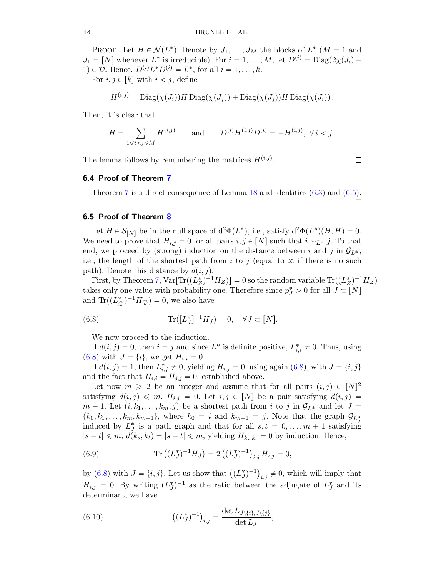PROOF. Let  $H \in \mathcal{N}(L^*)$ . Denote by  $J_1, \ldots, J_M$  the blocks of  $L^*$   $(M = 1$  and  $J_1 = [N]$  whenever  $L^*$  is irreducible). For  $i = 1, ..., M$ , let  $D^{(i)} = \text{Diag}(2\chi(J_i) -$ 1)  $\in \mathcal{D}$ . Hence,  $D^{(i)}L^*D^{(i)} = L^*$ , for all  $i = 1, \ldots, k$ .

For  $i, j \in [k]$  with  $i < j$ , define

$$
H^{(i,j)} = \text{Diag}(\chi(J_i))H \text{Diag}(\chi(J_j)) + \text{Diag}(\chi(J_j))H \text{Diag}(\chi(J_i)).
$$

Then, it is clear that

$$
H = \sum_{1 \le i < j \le M} H^{(i,j)} \qquad \text{and} \qquad D^{(i)} H^{(i,j)} D^{(i)} = -H^{(i,j)}, \ \forall \ i < j \, .
$$

The lemma follows by renumbering the matrices  $H^{(i,j)}$ .

6.4 Proof of Theorem [7](#page-6-2)

Theorem [7](#page-6-2) is a direct consequence of Lemma [18](#page-12-1) and identities [\(6.3\)](#page-11-3) and [\(6.5\)](#page-11-5).  $\Box$ 

## 6.5 Proof of Theorem [8](#page-6-0)

Let  $H \in \mathcal{S}_{[N]}$  be in the null space of  $d^2\Phi(L^*),$  i.e., satisfy  $d^2\Phi(L^*)(H, H) = 0$ . We need to prove that  $H_{i,j} = 0$  for all pairs  $i, j \in [N]$  such that  $i \sim_{L^*} j$ . To that end, we proceed by (strong) induction on the distance between i and j in  $\mathcal{G}_{L^*}$ , i.e., the length of the shortest path from i to j (equal to  $\infty$  if there is no such path). Denote this distance by  $d(i, j)$ .

First, by Theorem [7,](#page-6-2)  $Var[Tr((L_Z^*)^{-1}H_Z)] = 0$  so the random variable  $Tr((L_Z^*)^{-1}H_Z)$ takes only one value with probability one. Therefore since  $p_J^* > 0$  for all  $J \subset [N]$ and  $\text{Tr}((L_{\emptyset}^*)^{-1}H_{\emptyset})=0$ , we also have

(6.8) 
$$
\text{Tr}([L_J^*]^{-1}H_J) = 0, \quad \forall J \subset [N].
$$

<span id="page-13-0"></span>We now proceed to the induction.

If  $d(i, j) = 0$ , then  $i = j$  and since  $L^*$  is definite positive,  $L^*_{i,i} \neq 0$ . Thus, using [\(6.8\)](#page-13-0) with  $J = \{i\}$ , we get  $H_{i,i} = 0$ .

If  $d(i, j) = 1$ , then  $L_{i,j}^* \neq 0$ , yielding  $H_{i,j} = 0$ , using again [\(6.8\)](#page-13-0), with  $J = \{i, j\}$ and the fact that  $H_{i,i} = H_{j,j} = 0$ , established above.

Let now  $m \geq 2$  be an integer and assume that for all pairs  $(i, j) \in [N]^2$ satisfying  $d(i, j) \leq m$ ,  $H_{i,j} = 0$ . Let  $i, j \in [N]$  be a pair satisfying  $d(i, j) =$  $m + 1$ . Let  $(i, k_1, \ldots, k_m, j)$  be a shortest path from i to j in  $\mathcal{G}_{L^*}$  and let  $J =$  $\{k_0, k_1, \ldots, k_m, k_{m+1}\},\$  where  $k_0 = i$  and  $k_{m+1} = j$ . Note that the graph  $\mathcal{G}_{L^*_{\tau}}$ induced by  $L_J^*$  is a path graph and that for all  $s, t = 0, ..., m + 1$  satisfying  $|s-t| \leq m, d(k_s, k_t) = |s-t| \leq m$ , yielding  $H_{k_s, k_t} = 0$  by induction. Hence,

<span id="page-13-1"></span>(6.9) 
$$
\text{Tr}\left((L_J^*)^{-1}H_J\right) = 2\left((L_J^*)^{-1}\right)_{i,j}H_{i,j} = 0,
$$

by [\(6.8\)](#page-13-0) with  $J = \{i, j\}$ . Let us show that  $((L_J^*)^{-1})_{i,j} \neq 0$ , which will imply that  $H_{i,j} = 0$ . By writing  $(L_J^*)^{-1}$  as the ratio between the adjugate of  $L_J^*$  and its determinant, we have

<span id="page-13-2"></span>(6.10) 
$$
\left( (L_J^*)^{-1} \right)_{i,j} = \frac{\det L_{J \setminus \{i\}, J \setminus \{j\}}}{\det L_J},
$$

$$
\Box
$$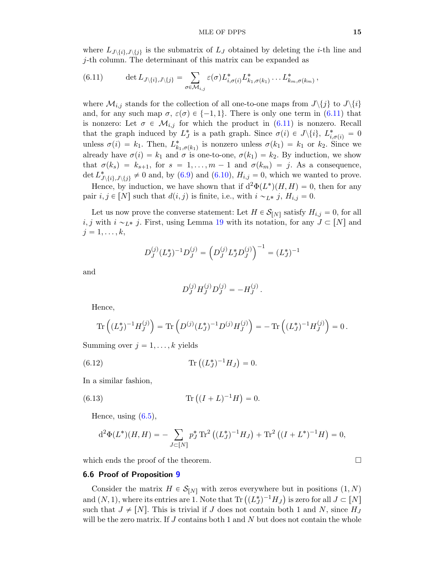where  $L_{J\setminus\{i\},J\setminus\{j\}}$  is the submatrix of  $L_J$  obtained by deleting the *i*-th line and j-th column. The determinant of this matrix can be expanded as

<span id="page-14-0"></span>(6.11) 
$$
\det L_{J\setminus\{i\},J\setminus\{j\}} = \sum_{\sigma\in\mathcal{M}_{i,j}} \varepsilon(\sigma) L_{i,\sigma(i)}^* L_{k_1,\sigma(k_1)}^* \dots L_{k_m,\sigma(k_m)}^*,
$$

where  $\mathcal{M}_{i,j}$  stands for the collection of all one-to-one maps from  $J\setminus\{j\}$  to  $J\setminus\{i\}$ and, for any such map  $\sigma$ ,  $\varepsilon(\sigma) \in \{-1, 1\}$ . There is only one term in [\(6.11\)](#page-14-0) that is nonzero: Let  $\sigma \in \mathcal{M}_{i,j}$  for which the product in  $(6.11)$  is nonzero. Recall that the graph induced by  $L_j^*$  is a path graph. Since  $\sigma(i) \in J \setminus \{i\}, L_{i, \sigma(i)}^* = 0$ unless  $\sigma(i) = k_1$ . Then,  $L^*_{k_1, \sigma(k_1)}$  is nonzero unless  $\sigma(k_1) = k_1$  or  $k_2$ . Since we already have  $\sigma(i) = k_1$  and  $\sigma$  is one-to-one,  $\sigma(k_1) = k_2$ . By induction, we show that  $\sigma(k_s) = k_{s+1}$ , for  $s = 1, ..., m-1$  and  $\sigma(k_m) = j$ . As a consequence, det  $L^*_{\mathcal{J}\setminus\{i\},\mathcal{J}\setminus\{j\}} \neq 0$  and, by [\(6.9\)](#page-13-1) and [\(6.10\)](#page-13-2),  $H_{i,j} = 0$ , which we wanted to prove.

Hence, by induction, we have shown that if  $d^2\Phi(L^*)(H, H) = 0$ , then for any pair  $i, j \in [N]$  such that  $d(i, j)$  is finite, i.e., with  $i \sim_{L^*} j$ ,  $H_{i,j} = 0$ .

Let us now prove the converse statement: Let  $H \in \mathcal{S}_{[N]}$  satisfy  $H_{i,j} = 0$ , for all  $i, j$  with  $i \sim_{L^*} j$ . First, using Lemma [19](#page-12-0) with its notation, for any  $J \subset [N]$  and  $j = 1, \ldots, k$ ,

$$
D_J^{(j)}(L_J^*)^{-1}D_J^{(j)} = \left(D_J^{(j)}L_J^*D_J^{(j)}\right)^{-1} = (L_J^*)^{-1}
$$

and

<span id="page-14-1"></span>
$$
D_J^{(j)} H_J^{(j)} D_J^{(j)} = -H_J^{(j)}.
$$

Hence,

$$
\mathrm{Tr}\left((L_J^*)^{-1}H_J^{(j)}\right)=\mathrm{Tr}\left(D^{(j)}(L_J^*)^{-1}D^{(j)}H_J^{(j)}\right)=-\mathrm{Tr}\left((L_J^*)^{-1}H_J^{(j)}\right)=0\,.
$$

Summing over  $j = 1, \ldots, k$  yields

(6.12) 
$$
\text{Tr}\left((L_J^*)^{-1}H_J\right) = 0.
$$

In a similar fashion,

(6.13) 
$$
\text{Tr}\left((I+L)^{-1}H\right) = 0.
$$

Hence, using  $(6.5)$ ,

<span id="page-14-2"></span>
$$
d^{2}\Phi(L^{*})(H,H) = -\sum_{J \subset [N]} p_{J}^{*} \operatorname{Tr}^{2} \left( (L_{J}^{*})^{-1} H_{J} \right) + \operatorname{Tr}^{2} \left( (I + L^{*})^{-1} H \right) = 0,
$$

which ends the proof of the theorem.  $\Box$ 

#### 6.6 Proof of Proposition [9](#page-7-0)

Consider the matrix  $H \in \mathcal{S}_{[N]}$  with zeros everywhere but in positions  $(1, N)$ Consider the matrix  $H \in \mathcal{S}_{[N]}$  with zeros everywhere but in positions  $(1, N)$ <br>and  $(N, 1)$ , where its entries are 1. Note that  $\text{Tr}((L_J^*)^{-1}H_J)$  is zero for all  $J \subset [N]$ such that  $J \neq [N]$ . This is trivial if J does not contain both 1 and N, since  $H_J$ will be the zero matrix. If  $J$  contains both 1 and  $N$  but does not contain the whole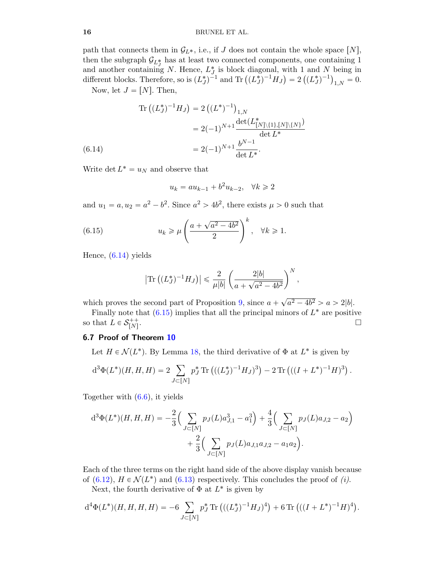#### 16 BRUNEL ET AL.

path that connects them in  $\mathcal{G}_{L^*}$ , i.e., if J does not contain the whole space  $[N]$ , then the subgraph  $\mathcal{G}_{L_T^*}$  has at least two connected components, one containing 1 and another containing N. Hence,  $L_J^*$  is block diagonal, with 1 and N being in and another containing N. Hence,  $L_J^*$  is block diagonal, with 1 and N being in different blocks. Therefore, so is  $(L_J^*)^{-1}$  and Tr  $((L_J^*)^{-1}H_J) = 2((L_J^*)^{-1})_{1,N} = 0$ .

Now, let  $J = [N]$ . Then,

$$
\begin{aligned} \text{Tr}\left((L_J^*)^{-1}H_J\right) &= 2\left((L^*)^{-1}\right)_{1,N} \\ &= 2(-1)^{N+1} \frac{\det(L_{[N]\setminus\{1\},[N]\setminus\{N\}}^*)}{\det L^*} \\ &= 2(-1)^{N+1} \frac{b^{N-1}}{\det L^*}. \end{aligned}
$$
\n(6.14)

<span id="page-15-0"></span>Write det  $L^* = u_N$  and observe that

$$
u_k = au_{k-1} + b^2 u_{k-2}, \quad \forall k \ge 2
$$

and  $u_1 = a, u_2 = a^2 - b^2$ . Since  $a^2 > 4b^2$ , there exists  $\mu > 0$  such that

(6.15) 
$$
u_k \ge \mu \left(\frac{a + \sqrt{a^2 - 4b^2}}{2}\right)^k, \quad \forall k \ge 1.
$$

Hence, [\(6.14\)](#page-15-0) yields

<span id="page-15-1"></span>
$$
|\text{Tr}((L_J^*)^{-1}H_J)| \leq \frac{2}{\mu |b|} \left( \frac{2|b|}{a + \sqrt{a^2 - 4b^2}} \right)^N,
$$

which proves the second part of Proposition  $9$ , since  $a +$ ?  $a^2 - 4b^2 > a > 2|b|.$ 

Finally note that  $(6.15)$  implies that all the principal minors of  $L^*$  are positive so that  $L \in \mathcal{S}_{[N]}^{++}$ .

# 6.7 Proof of Theorem [10](#page-7-1)

Let  $H \in \mathcal{N}(L^*)$ . By Lemma [18,](#page-12-1) the third derivative of  $\Phi$  at  $L^*$  is given by

$$
d^{3}\Phi(L^{*})(H, H, H) = 2 \sum_{J \subset [N]} p_{J}^{*} \operatorname{Tr} \left( ((L_{J}^{*})^{-1} H_{J})^{3} \right) - 2 \operatorname{Tr} \left( ((I + L^{*})^{-1} H)^{3} \right).
$$

Together with [\(6.6\)](#page-12-2), it yields

$$
d^{3}\Phi(L^{*})(H, H, H) = -\frac{2}{3} \Big( \sum_{J \subset [N]} p_{J}(L)a_{J,1}^{3} - a_{1}^{3} \Big) + \frac{4}{3} \Big( \sum_{J \subset [N]} p_{J}(L)a_{J,2} - a_{2} \Big) + \frac{2}{3} \Big( \sum_{J \subset [N]} p_{J}(L)a_{J,1}a_{J,2} - a_{1}a_{2} \Big).
$$

Each of the three terms on the right hand side of the above display vanish because of [\(6.12\)](#page-14-1),  $H \in \mathcal{N}(L^*)$  and [\(6.13\)](#page-14-2) respectively. This concludes the proof of (i).

Next, the fourth derivative of  $\Phi$  at  $L^*$  is given by

$$
d^{4}\Phi(L^{*})(H, H, H, H) = -6 \sum_{J \subset [N]} p_{J}^{*} \operatorname{Tr} \left( ((L_{J}^{*})^{-1} H_{J})^{4} \right) + 6 \operatorname{Tr} \left( ((I + L^{*})^{-1} H)^{4} \right).
$$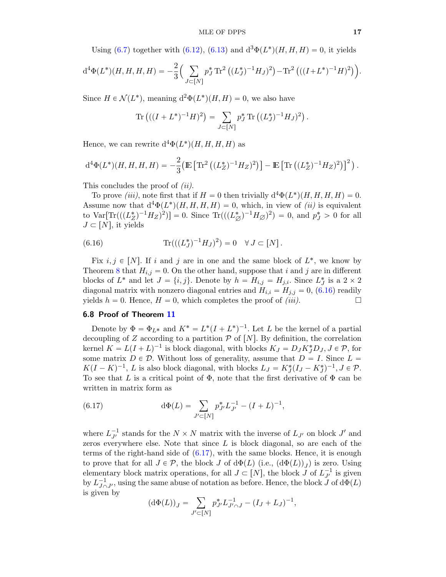Using [\(6.7\)](#page-12-3) together with [\(6.12\)](#page-14-1), [\(6.13\)](#page-14-2) and  $d^3\Phi(L^*)(H, H, H) = 0$ , it yields

$$
d^{4}\Phi(L^{*})(H, H, H, H) = -\frac{2}{3} \Big( \sum_{J \subset [N]} p_{J}^{*} \operatorname{Tr}^{2} \left( (L_{J}^{*})^{-1} H_{J})^{2} \right) - \operatorname{Tr}^{2} \left( ((I + L^{*})^{-1} H)^{2} \right) \Big).
$$

Since  $H \in \mathcal{N}(L^*)$ , meaning  $d^2\Phi(L^*)(H, H) = 0$ , we also have

Tr 
$$
((I + L^*)^{-1}H)^2
$$
 =  $\sum_{J \subset [N]} p_J^* \text{Tr} ((L_J^*)^{-1}H_J)^2$ .

Hence, we can rewrite  $d^4\Phi(L^*)(H, H, H, H)$  as

$$
\mathrm{d}^4\Phi(L^*)(H,H,H,H)=-\frac{2}{3}\big(\mathbb{E}\left[\text{Tr}^2\left((L_Z^*)^{-1}H_Z)^2\right)\right]-\mathbb{E}\left[\text{Tr}\left((L_Z^*)^{-1}H_Z)^2\right)\right]^2\big)\,.
$$

This concludes the proof of *(ii)*.

To prove *(iii)*, note first that if  $H = 0$  then trivially  $d^4\Phi(L^*)(H, H, H, H) = 0$ . Assume now that  $d^4\Phi(L^*)(H, H, H, H) = 0$ , which, in view of *(ii)* is equivalent to  $\text{Var}[\text{Tr}(((L_Z^*)^{-1}H_Z)^2)] = 0$ . Since  $\text{Tr}(((L_{\varnothing}^*)^{-1}H_{\varnothing})^2) = 0$ , and  $p_J^* > 0$  for all  $J \subset [N]$ , it yields

<span id="page-16-0"></span>(6.16) 
$$
\text{Tr}(((L_J^*)^{-1}H_J)^2) = 0 \quad \forall J \subset [N].
$$

Fix  $i, j \in [N]$ . If i and j are in one and the same block of  $L^*$ , we know by Theorem [8](#page-6-0) that  $H_{i,j} = 0$ . On the other hand, suppose that i and j are in different blocks of  $L^*$  and let  $J = \{i, j\}$ . Denote by  $h = H_{i,j} = H_{j,i}$ . Since  $L_J^*$  is a  $2 \times 2$ diagonal matrix with nonzero diagonal entries and  $H_{i,i} = H_{j,j} = 0$ , [\(6.16\)](#page-16-0) readily yields  $h = 0$ . Hence,  $H = 0$ , which completes the proof of *(iii)*.

# 6.8 Proof of Theorem [11](#page-8-0)

Denote by  $\Phi = \Phi_{L^*}$  and  $K^* = L^*(I + L^*)^{-1}$ . Let L be the kernel of a partial decoupling of Z according to a partition  $P$  of  $[N]$ . By definition, the correlation kernel  $K = L(I + L)^{-1}$  is block diagonal, with blocks  $K_J = D_J K_J^* D_J, J \in \mathcal{P}$ , for some matrix  $D \in \mathcal{D}$ . Without loss of generality, assume that  $D = I$ . Since  $L =$  $K(I - K)^{-1}$ , L is also block diagonal, with blocks  $L_J = K_J^*(I_J - K_J^*)^{-1}$ ,  $J \in \mathcal{P}$ . To see that L is a critical point of  $\Phi$ , note that the first derivative of  $\Phi$  can be written in matrix form as

<span id="page-16-1"></span>(6.17) 
$$
\mathrm{d}\Phi(L) = \sum_{J' \subset [N]} p_{J'}^* L_{J'}^{-1} - (I + L)^{-1},
$$

where  $L_{J'}^{-1}$  stands for the  $N \times N$  matrix with the inverse of  $L_{J'}$  on block  $J'$  and zeros everywhere else. Note that since  $L$  is block diagonal, so are each of the terms of the right-hand side of [\(6.17\)](#page-16-1), with the same blocks. Hence, it is enough to prove that for all  $J \in \mathcal{P}$ , the block  $J$  of  $d\Phi(L)$  (i.e.,  $(d\Phi(L))_J$ ) is zero. Using elementary block matrix operations, for all  $J \subset [N]$ , the block  $\tilde{J}$  of  $L_{J'}^{-1}$  is given by  $L_{J \cap J'}^{-1}$ , using the same abuse of notation as before. Hence, the block  $J$  of  $d\Phi(L)$ is given by

$$
(\mathrm{d}\Phi(L))_J = \sum_{J' \subset [N]} p_{J'}^* L_{J' \cap J}^{-1} - (I_J + L_J)^{-1},
$$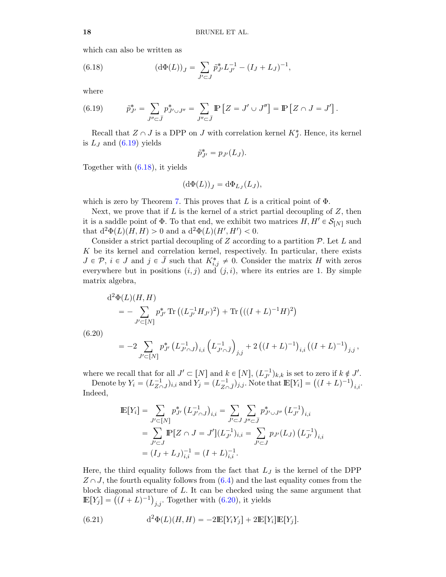which can also be written as

<span id="page-17-1"></span>(6.18) 
$$
(\mathrm{d}\Phi(L))_J = \sum_{J' \subset J} \tilde{p}_{J'}^* L_{J'}^{-1} - (I_J + L_J)^{-1},
$$

where

<span id="page-17-0"></span>(6.19) 
$$
\tilde{p}_{J'}^* = \sum_{J'' \subset \bar{J}} p_{J' \cup J''}^* = \sum_{J'' \subset \bar{J}} \mathbb{P} \left[ Z = J' \cup J'' \right] = \mathbb{P} \left[ Z \cap J = J' \right].
$$

Recall that  $Z \cap J$  is a DPP on J with correlation kernel  $K_J^*$ . Hence, its kernel is  $L_J$  and  $(6.19)$  yields

$$
\tilde{p}_{J'}^* = p_{J'}(L_J).
$$

Together with [\(6.18\)](#page-17-1), it yields

$$
(\mathrm{d}\Phi(L))_J = \mathrm{d}\Phi_{L_J}(L_J),
$$

which is zero by Theorem [7.](#page-6-2) This proves that L is a critical point of  $\Phi$ .

Next, we prove that if  $L$  is the kernel of a strict partial decoupling of  $Z$ , then it is a saddle point of  $\Phi$ . To that end, we exhibit two matrices  $H, H' \in \mathcal{S}_{[N]}$  such that  $d^2\Phi(L)(H, H) > 0$  and a  $d^2\Phi(L)(H', H') < 0$ .

Consider a strict partial decoupling of  $Z$  according to a partition  $\mathcal{P}$ . Let  $L$  and K be its kernel and correlation kernel, respectively. In particular, there exists  $J \in \mathcal{P}, i \in J$  and  $j \in \overline{J}$  such that  $K_{i,j}^* \neq 0$ . Consider the matrix H with zeros everywhere but in positions  $(i, j)$  and  $(j, i)$ , where its entries are 1. By simple matrix algebra,

<span id="page-17-2"></span>
$$
d^{2}\Phi(L)(H, H)
$$
  
=  $-\sum_{J'\subset[N]} p_{J'}^{*} \operatorname{Tr}\left((L_{J'}^{-1}H_{J'})^{2}\right) + \operatorname{Tr}\left(((I+L)^{-1}H)^{2}\right)$   
(6.20)

$$
= -2 \sum_{J' \subset [N]} p_{J'}^* \left( L_{J' \cap J}^{-1} \right)_{i,i} \left( L_{J' \cap \bar{J}}^{-1} \right)_{j,j} + 2 \left( (I + L)^{-1} \right)_{i,i} \left( (I + L)^{-1} \right)_{j,j},
$$

where we recall that for all  $J' \subset [N]$  and  $k \in [N]$ ,  $(L_{J'}^{-1})_{k,k}$  is set to zero if  $k \notin J'$ .

here we recall that for all  $J' \subset [N]$  and  $k \in [N]$ ,  $(L_{J'}^{-1})_{k,k}$  is set to zero if  $k \notin I$ .<br>Denote by  $Y_i = (L_{Z \cap J}^{-1})_{i,i}$  and  $Y_j = (L_{Z \cap J}^{-1})_{j,j}$ . Note that  $\mathbb{E}[Y_i] = ((I + L)^{-1})$  $i,i$ <sup> $\cdot$ </sup> Indeed,

$$
\mathbb{E}[Y_i] = \sum_{J' \subset [N]} p_{J'}^* (L_{J' \cap J}^{-1})_{i,i} = \sum_{J' \subset J} \sum_{J'' \subset \bar{J}} p_{J' \cup J''}^* (L_{J'}^{-1})_{i,i}
$$
  
= 
$$
\sum_{J' \subset J} \mathbb{P}[Z \cap J = J'] (L_{J'}^{-1})_{i,i} = \sum_{J' \subset J} p_{J'} (L_J) (L_{J'}^{-1})_{i,i}
$$
  
= 
$$
(I_J + L_J)_{i,i}^{-1} = (I + L)_{i,i}^{-1}.
$$

Here, the third equality follows from the fact that  $L_J$  is the kernel of the DPP  $Z \cap J$ , the fourth equality follows from  $(6.4)$  and the last equality comes from the block diagonal structure of  $L$ . It can be checked using the same argument that block diagonal structure of L. It can be checked using<br>  $\mathbb{E}[Y_j] = ((I + L)^{-1})_{j,j}$ . Together with [\(6.20\)](#page-17-2), it yields

<span id="page-17-3"></span>(6.21) 
$$
d^{2}\Phi(L)(H,H) = -2\mathbb{E}[Y_{i}Y_{j}] + 2\mathbb{E}[Y_{i}]\mathbb{E}[Y_{j}].
$$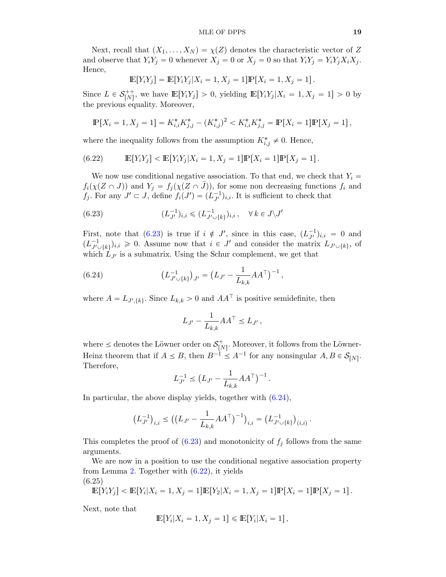Next, recall that  $(X_1, \ldots, X_N) = \chi(Z)$  denotes the characteristic vector of Z and observe that  $Y_i Y_j = 0$  whenever  $X_j = 0$  or  $X_j = 0$  so that  $Y_i Y_j = Y_i Y_j X_i X_j$ . Hence,

$$
\mathbb{E}[Y_i Y_j] = \mathbb{E}[Y_i Y_j | X_i = 1, X_j = 1] \mathbb{P}[X_i = 1, X_j = 1].
$$

Since  $L \in \mathcal{S}_{[N]}^{++}$ , we have  $\mathbb{E}[Y_iY_j] > 0$ , yielding  $\mathbb{E}[Y_iY_j | X_i = 1, X_j = 1] > 0$  by the previous equality. Moreover,

$$
\mathbb{P}[X_i = 1, X_j = 1] = K_{i,i}^* K_{j,j}^* - (K_{i,j}^*)^2 < K_{i,i}^* K_{j,j}^* = \mathbb{P}[X_i = 1] \mathbb{P}[X_j = 1],
$$

where the inequality follows from the assumption  $K^*_{i,j} \neq 0$ . Hence,

<span id="page-18-2"></span>(6.22) 
$$
\mathbb{E}[Y_i Y_j] < \mathbb{E}[Y_i Y_j | X_i = 1, X_j = 1] \mathbb{P}[X_i = 1] \mathbb{P}[X_j = 1].
$$

We now use conditional negative association. To that end, we check that  $Y_i =$  $f_i(\chi(Z \cap J))$  and  $Y_j = f_j(\chi(Z \cap \overline{J}))$ , for some non decreasing functions  $f_i$  and  $f_j$ . For any  $J' \subset J$ , define  $f_i(J') = (L_{J'}^{-1})_{i,i}$ . It is sufficient to check that

<span id="page-18-0"></span>(6.23) 
$$
(L_{J'}^{-1})_{i,i} \leq (L_{J' \cup \{k\}}^{-1})_{i,i}, \quad \forall k \in J \setminus J'
$$

First, note that [\(6.23\)](#page-18-0) is true if  $i \notin J'$ , since in this case,  $(L_{J'}^{-1})_{i,i} = 0$  and  $(L_{J'_{1}}^{-1}%$  $J_{J' \cup \{k\}}^{-1}$ ,  $j_{i,i} \geq 0$ . Assume now that  $i \in J'$  and consider the matrix  $L_{J' \cup \{k\}}$ , of which  $L_{J'}$  is a submatrix. Using the Schur complement, we get that

(6.24) 
$$
\left(L_{J' \cup \{k\}}^{-1}\right)_{J'} = \left(L_{J'} - \frac{1}{L_{k,k}}AA^{\top}\right)^{-1},
$$

where  $A = L_{J',\{k\}}$ . Since  $L_{k,k} > 0$  and  $AA^{\top}$  is positive semidefinite, then

<span id="page-18-1"></span>
$$
L_{J'} - \frac{1}{L_{k,k}} A A^{\top} \le L_{J'},
$$

where  $\leq$  denotes the Löwner order on  $\mathcal{S}_{[N]}^+$ . Moreover, it follows from the Löwner-Heinz theorem that if  $A \leq B$ , then  $B^{-1} \leq A^{-1}$  for any nonsingular  $A, B \in \mathcal{S}_{[N]}$ . Therefore,

$$
L_{J'}^{-1} \le (L_{J'} - \frac{1}{L_{k,k}} A A^{\top})^{-1}.
$$

In particular, the above display yields, together with  $(6.24)$ ,

$$
\left(L_{J'}^{-1}\right)_{i,i} \leq \left(\left(L_{J'} - \frac{1}{L_{k,k}} AA^{\top}\right)^{-1}\right)_{i,i} = \left(L_{J' \cup \{k\}}^{-1}\right)_{(i,i)}.
$$

This completes the proof of  $(6.23)$  and monotonicity of  $f_j$  follows from the same arguments.

We are now in a position to use the conditional negative association property from Lemma [2.](#page-3-1) Together with [\(6.22\)](#page-18-2), it yields (6.25)

<span id="page-18-3"></span>
$$
\mathbb{E}[Y_i Y_j] < \mathbb{E}[Y_i | X_i = 1, X_j = 1] \mathbb{E}[Y_2 | X_i = 1, X_j = 1] \mathbb{P}[X_i = 1] \mathbb{P}[X_j = 1].
$$

Next, note that

$$
\mathbb{E}[Y_i|X_i=1, X_j=1] \leq \mathbb{E}[Y_i|X_i=1],
$$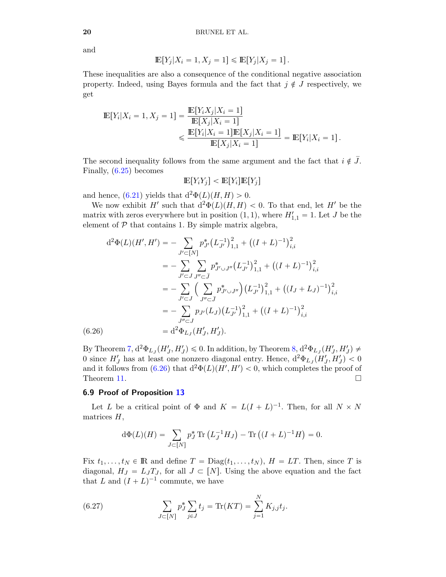and

$$
\mathbb{E}[Y_j|X_i=1,X_j=1] \leq \mathbb{E}[Y_j|X_j=1].
$$

These inequalities are also a consequence of the conditional negative association property. Indeed, using Bayes formula and the fact that  $j \notin J$  respectively, we get

$$
\mathbb{E}[Y_i|X_i = 1, X_j = 1] = \frac{\mathbb{E}[Y_i X_j | X_i = 1]}{\mathbb{E}[X_j | X_i = 1]} \le \frac{\mathbb{E}[Y_i | X_i = 1] \mathbb{E}[X_j | X_i = 1]}{\mathbb{E}[X_j | X_i = 1]} = \mathbb{E}[Y_i | X_i = 1].
$$

The second inequality follows from the same argument and the fact that  $i \notin \overline{J}$ . Finally, [\(6.25\)](#page-18-3) becomes

$$
\mathbb{E}[Y_i Y_j] < \mathbb{E}[Y_i] \mathbb{E}[Y_j]
$$

and hence,  $(6.21)$  yields that  $d^2\Phi(L)(H, H) > 0$ .

We now exhibit H' such that  $d^2\Phi(L)(H, H) < 0$ . To that end, let H' be the matrix with zeros everywhere but in position  $(1, 1)$ , where  $H'_{1,1} = 1$ . Let J be the element of  $P$  that contains 1. By simple matrix algebra,

$$
d^{2}\Phi(L)(H', H') = -\sum_{J' \subset [N]} p_{J'}^{*} (L_{J'}^{-1})_{1,1}^{2} + ((I + L)^{-1})_{i,i}^{2}
$$
  

$$
= -\sum_{J' \subset J} \sum_{J'' \subset \bar{J}} p_{J' \cup J''}^{*} (L_{J'}^{-1})_{1,1}^{2} + ((I + L)^{-1})_{i,i}^{2}
$$
  

$$
= -\sum_{J' \subset J} \left( \sum_{J'' \subset \bar{J}} p_{J' \cup J''}^{*} \right) (L_{J'}^{-1})_{1,1}^{2} + ((I_{J} + L_{J})^{-1})_{i,i}^{2}
$$
  

$$
= -\sum_{J'' \subset J} p_{J'} (L_{J}) (L_{J'}^{-1})_{1,1}^{2} + ((I + L)^{-1})_{i,i}^{2}
$$
  
(6.26) 
$$
= d^{2} \Phi_{L_{J}}(H'_{J}, H'_{J}).
$$

<span id="page-19-0"></span>By Theorem [7,](#page-6-2)  $d^2\Phi_{LJ}(H'_J, H'_J) \leq 0$ . In addition, by Theorem [8,](#page-6-0)  $d^2\Phi_{LJ}(H'_J, H'_J) \neq 0$ 0 since  $H'_J$  has at least one nonzero diagonal entry. Hence,  $d^2\Phi_{L_J}(H'_J,H'_J) < 0$ and it follows from  $(6.26)$  that  $d^2\Phi(L)(H', H') < 0$ , which completes the proof of Theorem [11.](#page-8-0)  $\Box$ 

#### 6.9 Proof of Proposition [13](#page-8-3)

Let L be a critical point of  $\Phi$  and  $K = L(I + L)^{-1}$ . Then, for all  $N \times N$ matrices  $H$ ,

$$
d\Phi(L)(H) = \sum_{J \subset [N]} p_J^* \text{Tr}\left(L_J^{-1} H_J\right) - \text{Tr}\left((I + L)^{-1} H\right) = 0.
$$

Fix  $t_1, \ldots, t_N \in \mathbb{R}$  and define  $T = \text{Diag}(t_1, \ldots, t_N)$ ,  $H = LT$ . Then, since T is diagonal,  $H_J = L_J T_J$ , for all  $J \subset [N]$ . Using the above equation and the fact that L and  $(I + L)^{-1}$  commute, we have

<span id="page-19-1"></span>(6.27) 
$$
\sum_{J \subset [N]} p_J^* \sum_{j \in J} t_j = \text{Tr}(KT) = \sum_{j=1}^N K_{j,j} t_j.
$$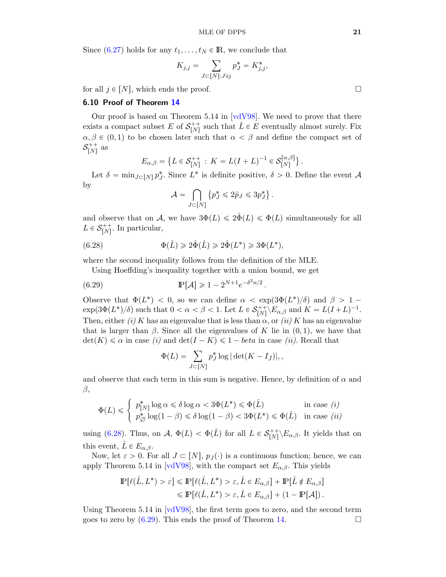Since [\(6.27\)](#page-19-1) holds for any  $t_1, \ldots, t_N \in \mathbb{R}$ , we conclude that

$$
K_{j,j}=\sum_{J\subset [N]: J\ni j} p_J^* = K_{j,j}^*,
$$

for all  $j \in [N]$ , which ends the proof.

## 6.10 Proof of Theorem [14](#page-9-0)

Our proof is based on Theorem 5.14 in  $\lceil \text{vdV98} \rceil$ . We need to prove that there exists a compact subset E of  $S_{[N]}^{++}$  such that  $\hat{L} \in E$  eventually almost surely. Fix  $\alpha, \beta \in (0, 1)$  to be chosen later such that  $\alpha < \beta$  and define the compact set of  $\mathcal{S}_{[N]}^{++}$  as **(A)** 

$$
E_{\alpha,\beta} = \left\{ L \in \mathcal{S}_{[N]}^{++} : K = L(I+L)^{-1} \in \mathcal{S}_{[N]}^{[\alpha,\beta]} \right\}.
$$

Let  $\delta = \min_{J \subset [N]} p_J^*$ . Since  $L^*$  is definite positive,  $\delta > 0$ . Define the event A by č  $\mathbf{r}$  $\mathbf{r}$ 

<span id="page-20-0"></span>
$$
\mathcal{A} = \bigcap_{J \subset [N]} \left\{ p_J^* \leqslant 2\hat{p}_J \leqslant 3p_J^* \right\}.
$$

and observe that on A, we have  $3\Phi(L) \leq 2\hat{\Phi}(L) \leq \Phi(L)$  simultaneously for all  $L \in \mathcal{S}_{[N]}^{++}$ . In particular,

(6.28) 
$$
\Phi(\hat{L}) \geq 2\hat{\Phi}(\hat{L}) \geq 2\hat{\Phi}(L^*) \geq 3\Phi(L^*),
$$

where the second inequality follows from the definition of the MLE.

Using Hoeffding's inequality together with a union bound, we get

(6.29) 
$$
\mathbb{P}[\mathcal{A}] \geq 1 - 2^{N+1} e^{-\delta^2 n/2}.
$$

Observe that  $\Phi(L^*)$  < 0, so we can define  $\alpha < \exp(3\Phi(L^*)/\delta)$  and  $\beta > 1$  $\exp(3\Phi(L^*)/\delta)$  such that  $0 < \alpha < \beta < 1$ . Let  $L \in \mathcal{S}_{[N]}^{++}\backslash E_{\alpha,\beta}$  and  $K = L(I+L)^{-1}$ . Then, either (i) K has an eigenvalue that is less than  $\alpha$ , or (ii) K has an eigenvalue that is larger than  $\beta$ . Since all the eigenvalues of K lie in  $(0, 1)$ , we have that  $\det(K) \leq \alpha$  in case (i) and  $\det(I - K) \leq 1 - \theta$  in case (ii). Recall that

<span id="page-20-1"></span>
$$
\Phi(L) = \sum_{J \subset [N]} p_J^* \log |\det(K - I_{\bar{J}})|,
$$

and observe that each term in this sum is negative. Hence, by definition of  $\alpha$  and  $\beta$ ,

$$
\Phi(L) \leq \begin{cases} p_{[N]}^* \log \alpha \leq \delta \log \alpha < 3\Phi(L^*) \leq \Phi(\hat{L}) & \text{in case } (i) \\ p_{\emptyset}^* \log(1-\beta) \leq \delta \log(1-\beta) < 3\Phi(L^*) \leq \Phi(\hat{L}) & \text{in case } (ii) \end{cases}
$$

using [\(6.28\)](#page-20-0). Thus, on  $\mathcal{A}, \ \Phi(L) < \Phi(\hat{L})$  for all  $L \in \mathcal{S}_{[N]}^{++}\backslash E_{\alpha,\beta}$ . It yields that on this event,  $\hat{L} \in E_{\alpha,\beta}$ .

Now, let  $\varepsilon > 0$ . For all  $J \subset [N], p_J(\cdot)$  is a continuous function; hence, we can apply Theorem 5.14 in [\[vdV98\]](#page-24-5), with the compact set  $E_{\alpha,\beta}$ . This yields

$$
\mathbb{P}[\ell(\hat{L}, L^*) > \varepsilon] \le \mathbb{P}[\ell(\hat{L}, L^*) > \varepsilon, \hat{L} \in E_{\alpha, \beta}] + \mathbb{P}[\hat{L} \notin E_{\alpha, \beta}]
$$
  

$$
\le \mathbb{P}[\ell(\hat{L}, L^*) > \varepsilon, \hat{L} \in E_{\alpha, \beta}] + (1 - \mathbb{P}[\mathcal{A}]).
$$

Using Theorem 5.14 in  $\lceil \text{vdV98} \rceil$ , the first term goes to zero, and the second term goes to zero by  $(6.29)$ . This ends the proof of Theorem [14.](#page-9-0)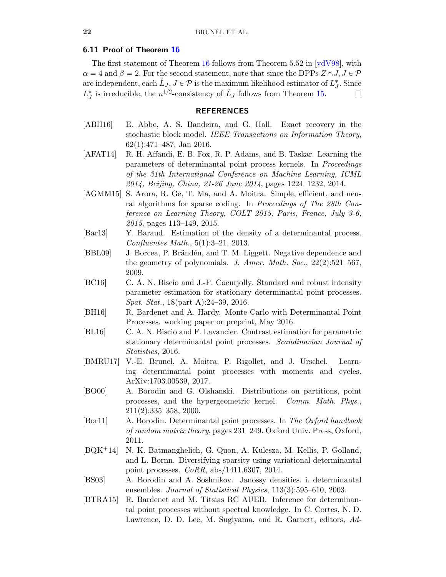#### 6.11 Proof of Theorem [16](#page-10-0)

The first statement of Theorem [16](#page-10-0) follows from Theorem 5.52 in  $\lceil \text{vdV98} \rceil$ , with  $\alpha = 4$  and  $\beta = 2$ . For the second statement, note that since the DPPs  $Z \cap J, J \in \mathcal{P}$ are independent, each  $\hat{L}_J, J \in \mathcal{P}$  is the maximum likelihood estimator of  $L_J^*$ . Since  $L_J^*$  is irreducible, the  $n^{1/2}$ -consistency of  $\hat{L}_J$  follows from Theorem [15.](#page-9-1)

# REFERENCES

- <span id="page-21-11"></span>[ABH16] E. Abbe, A. S. Bandeira, and G. Hall. Exact recovery in the stochastic block model. IEEE Transactions on Information Theory, 62(1):471–487, Jan 2016.
- <span id="page-21-3"></span>[AFAT14] R. H. Affandi, E. B. Fox, R. P. Adams, and B. Taskar. Learning the parameters of determinantal point process kernels. In Proceedings of the 31th International Conference on Machine Learning, ICML 2014, Beijing, China, 21-26 June 2014, pages 1224–1232, 2014.
- <span id="page-21-12"></span>[AGMM15] S. Arora, R. Ge, T. Ma, and A. Moitra. Simple, efficient, and neural algorithms for sparse coding. In Proceedings of The 28th Conference on Learning Theory, COLT 2015, Paris, France, July 3-6, 2015, pages 113–149, 2015.
- <span id="page-21-9"></span>[Bar13] Y. Baraud. Estimation of the density of a determinantal process. Confluentes Math., 5(1):3–21, 2013.
- <span id="page-21-10"></span>[BBL09] J. Borcea, P. Brändén, and T. M. Liggett. Negative dependence and the geometry of polynomials. J. Amer. Math. Soc.,  $22(2):521-567$ , 2009.
- <span id="page-21-5"></span>[BC16] C. A. N. Biscio and J.-F. Coeurjolly. Standard and robust intensity parameter estimation for stationary determinantal point processes. Spat. Stat., 18(part A):24–39, 2016.
- <span id="page-21-6"></span>[BH16] R. Bardenet and A. Hardy. Monte Carlo with Determinantal Point Processes. working paper or preprint, May 2016.
- <span id="page-21-8"></span>[BL16] C. A. N. Biscio and F. Lavancier. Contrast estimation for parametric stationary determinantal point processes. Scandinavian Journal of Statistics, 2016.
- <span id="page-21-13"></span>[BMRU17] V.-E. Brunel, A. Moitra, P. Rigollet, and J. Urschel. Learning determinantal point processes with moments and cycles. ArXiv:1703.00539, 2017.
- <span id="page-21-0"></span>[BO00] A. Borodin and G. Olshanski. Distributions on partitions, point processes, and the hypergeometric kernel. Comm. Math. Phys., 211(2):335–358, 2000.
- <span id="page-21-2"></span>[Bor11] A. Borodin. Determinantal point processes. In The Oxford handbook of random matrix theory, pages 231–249. Oxford Univ. Press, Oxford, 2011.
- <span id="page-21-4"></span>[BQK`14] N. K. Batmanghelich, G. Quon, A. Kulesza, M. Kellis, P. Golland, and L. Bornn. Diversifying sparsity using variational determinantal point processes. CoRR, abs/1411.6307, 2014.
- <span id="page-21-1"></span>[BS03] A. Borodin and A. Soshnikov. Janossy densities. i. determinantal ensembles. Journal of Statistical Physics, 113(3):595–610, 2003.
- <span id="page-21-7"></span>[BTRA15] R. Bardenet and M. Titsias RC AUEB. Inference for determinantal point processes without spectral knowledge. In C. Cortes, N. D. Lawrence, D. D. Lee, M. Sugiyama, and R. Garnett, editors, Ad-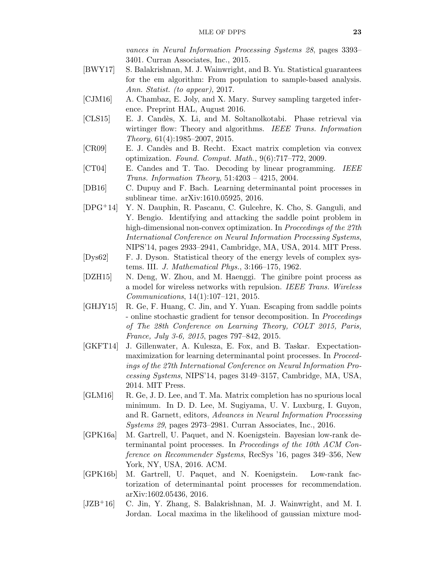vances in Neural Information Processing Systems 28, pages 3393– 3401. Curran Associates, Inc., 2015.

- <span id="page-22-10"></span>[BWY17] S. Balakrishnan, M. J. Wainwright, and B. Yu. Statistical guarantees for the em algorithm: From population to sample-based analysis. Ann. Statist. (to appear), 2017.
- <span id="page-22-2"></span>[CJM16] A. Chambaz, E. Joly, and X. Mary. Survey sampling targeted inference. Preprint HAL, August 2016.
- <span id="page-22-9"></span>[CLS15] E. J. Cand`es, X. Li, and M. Soltanolkotabi. Phase retrieval via wirtinger flow: Theory and algorithms. IEEE Trans. Information Theory, 61(4):1985–2007, 2015.
- <span id="page-22-8"></span>[CR09] E. J. Cand`es and B. Recht. Exact matrix completion via convex optimization. Found. Comput. Math., 9(6):717–772, 2009.
- <span id="page-22-7"></span>[CT04] E. Candes and T. Tao. Decoding by linear programming. IEEE Trans. Information Theory, 51:4203 – 4215, 2004.
- <span id="page-22-4"></span>[DB16] C. Dupuy and F. Bach. Learning determinantal point processes in sublinear time. arXiv:1610.05925, 2016.
- <span id="page-22-13"></span>[DPG`14] Y. N. Dauphin, R. Pascanu, C. Gulcehre, K. Cho, S. Ganguli, and Y. Bengio. Identifying and attacking the saddle point problem in high-dimensional non-convex optimization. In Proceedings of the 27th International Conference on Neural Information Processing Systems, NIPS'14, pages 2933–2941, Cambridge, MA, USA, 2014. MIT Press.
- <span id="page-22-0"></span>[Dys62] F. J. Dyson. Statistical theory of the energy levels of complex systems. III. J. Mathematical Phys., 3:166–175, 1962.
- <span id="page-22-1"></span>[DZH15] N. Deng, W. Zhou, and M. Haenggi. The ginibre point process as a model for wireless networks with repulsion. IEEE Trans. Wireless Communications, 14(1):107–121, 2015.
- <span id="page-22-14"></span>[GHJY15] R. Ge, F. Huang, C. Jin, and Y. Yuan. Escaping from saddle points - online stochastic gradient for tensor decomposition. In Proceedings of The 28th Conference on Learning Theory, COLT 2015, Paris, France, July 3-6, 2015, pages 797–842, 2015.
- <span id="page-22-3"></span>[GKFT14] J. Gillenwater, A. Kulesza, E. Fox, and B. Taskar. Expectationmaximization for learning determinantal point processes. In Proceedings of the 27th International Conference on Neural Information Processing Systems, NIPS'14, pages 3149–3157, Cambridge, MA, USA, 2014. MIT Press.
- <span id="page-22-11"></span>[GLM16] R. Ge, J. D. Lee, and T. Ma. Matrix completion has no spurious local minimum. In D. D. Lee, M. Sugiyama, U. V. Luxburg, I. Guyon, and R. Garnett, editors, Advances in Neural Information Processing Systems 29, pages 2973–2981. Curran Associates, Inc., 2016.
- <span id="page-22-5"></span>[GPK16a] M. Gartrell, U. Paquet, and N. Koenigstein. Bayesian low-rank determinantal point processes. In Proceedings of the 10th ACM Conference on Recommender Systems, RecSys '16, pages 349–356, New York, NY, USA, 2016. ACM.
- <span id="page-22-6"></span>[GPK16b] M. Gartrell, U. Paquet, and N. Koenigstein. Low-rank factorization of determinantal point processes for recommendation. arXiv:1602.05436, 2016.
- <span id="page-22-12"></span>[JZB<sup>+</sup>16] C. Jin, Y. Zhang, S. Balakrishnan, M. J. Wainwright, and M. I. Jordan. Local maxima in the likelihood of gaussian mixture mod-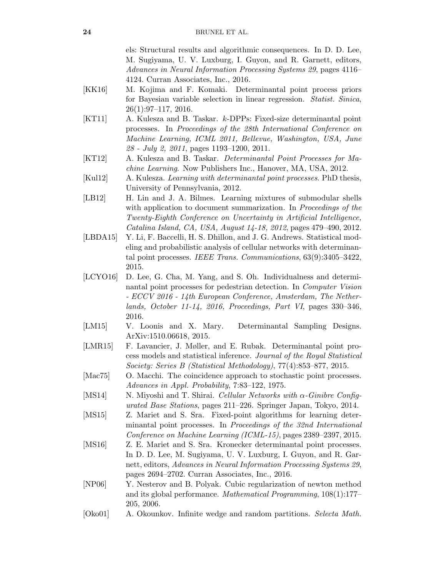els: Structural results and algorithmic consequences. In D. D. Lee, M. Sugiyama, U. V. Luxburg, I. Guyon, and R. Garnett, editors, Advances in Neural Information Processing Systems 29, pages 4116– 4124. Curran Associates, Inc., 2016.

- <span id="page-23-8"></span>[KK16] M. Kojima and F. Komaki. Determinantal point process priors for Bayesian variable selection in linear regression. Statist. Sinica, 26(1):97–117, 2016.
- <span id="page-23-4"></span>[KT11] A. Kulesza and B. Taskar. k-DPPs: Fixed-size determinantal point processes. In Proceedings of the 28th International Conference on Machine Learning, ICML 2011, Bellevue, Washington, USA, June 28 - July 2, 2011, pages 1193–1200, 2011.
- <span id="page-23-2"></span>[KT12] A. Kulesza and B. Taskar. Determinantal Point Processes for Machine Learning. Now Publishers Inc., Hanover, MA, USA, 2012.
- <span id="page-23-13"></span>[Kul12] A. Kulesza. Learning with determinantal point processes. PhD thesis, University of Pennsylvania, 2012.
- <span id="page-23-3"></span>[LB12] H. Lin and J. A. Bilmes. Learning mixtures of submodular shells with application to document summarization. In *Proceedings of the* Twenty-Eighth Conference on Uncertainty in Artificial Intelligence, Catalina Island, CA, USA, August 14-18, 2012, pages 479–490, 2012.
- <span id="page-23-7"></span>[LBDA15] Y. Li, F. Baccelli, H. S. Dhillon, and J. G. Andrews. Statistical modeling and probabilistic analysis of cellular networks with determinantal point processes. IEEE Trans. Communications, 63(9):3405–3422, 2015.
- <span id="page-23-5"></span>[LCYO16] D. Lee, G. Cha, M. Yang, and S. Oh. Individualness and determinantal point processes for pedestrian detection. In Computer Vision - ECCV 2016 - 14th European Conference, Amsterdam, The Netherlands, October 11-14, 2016, Proceedings, Part VI, pages 330–346, 2016.
- <span id="page-23-9"></span>[LM15] V. Loonis and X. Mary. Determinantal Sampling Designs. ArXiv:1510.06618, 2015.
- <span id="page-23-12"></span>[LMR15] F. Lavancier, J. Møller, and E. Rubak. Determinantal point process models and statistical inference. Journal of the Royal Statistical Society: Series B (Statistical Methodology), 77(4):853–877, 2015.
- <span id="page-23-0"></span>[Mac75] O. Macchi. The coincidence approach to stochastic point processes. Advances in Appl. Probability, 7:83–122, 1975.
- <span id="page-23-6"></span>[MS14] N. Miyoshi and T. Shirai. Cellular Networks with  $\alpha$ -Ginibre Configurated Base Stations, pages 211–226. Springer Japan, Tokyo, 2014.
- <span id="page-23-10"></span>[MS15] Z. Mariet and S. Sra. Fixed-point algorithms for learning determinantal point processes. In Proceedings of the 32nd International Conference on Machine Learning (ICML-15), pages 2389–2397, 2015.
- <span id="page-23-11"></span>[MS16] Z. E. Mariet and S. Sra. Kronecker determinantal point processes. In D. D. Lee, M. Sugiyama, U. V. Luxburg, I. Guyon, and R. Garnett, editors, Advances in Neural Information Processing Systems 29, pages 2694–2702. Curran Associates, Inc., 2016.
- <span id="page-23-14"></span>[NP06] Y. Nesterov and B. Polyak. Cubic regularization of newton method and its global performance. Mathematical Programming, 108(1):177– 205, 2006.
- <span id="page-23-1"></span>[Oko01] A. Okounkov. Infinite wedge and random partitions. Selecta Math.